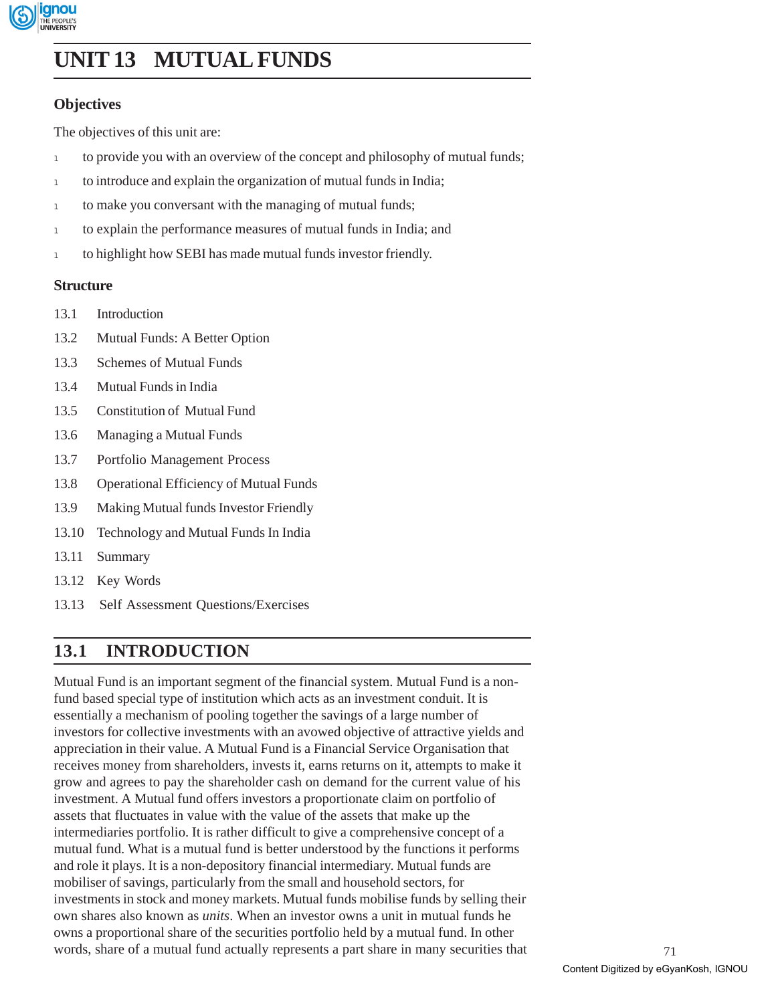

# **Mutual Funds UNIT 13 MUTUAL FUNDS**

## **Objectives**

The objectives of this unit are:

- <sup>l</sup> to provide you with an overview of the concept and philosophy of mutual funds;
- 1 to introduce and explain the organization of mutual funds in India;
- 1 to make you conversant with the managing of mutual funds;
- 1 to explain the performance measures of mutual funds in India; and
- 1 to highlight how SEBI has made mutual funds investor friendly.

### **Structure**

- 13.1 Introduction
- 13.2 Mutual Funds: A Better Option
- 13.3 Schemes of Mutual Funds
- 13.4 Mutual Funds in India
- 13.5 Constitution of Mutual Fund
- 13.6 Managing a Mutual Funds
- 13.7 Portfolio Management Process
- 13.8 Operational Efficiency of Mutual Funds
- 13.9 Making Mutual funds Investor Friendly
- 13.10 Technology and Mutual Funds In India
- 13.11 Summary
- 13.12 Key Words
- 13.13 Self Assessment Questions/Exercises

# **13.1 INTRODUCTION**

Mutual Fund is an important segment of the financial system. Mutual Fund is a nonfund based special type of institution which acts as an investment conduit. It is essentially a mechanism of pooling together the savings of a large number of investors for collective investments with an avowed objective of attractive yields and appreciation in their value. A Mutual Fund is a Financial Service Organisation that receives money from shareholders, invests it, earns returns on it, attempts to make it grow and agrees to pay the shareholder cash on demand for the current value of his investment. A Mutual fund offers investors a proportionate claim on portfolio of assets that fluctuates in value with the value of the assets that make up the intermediaries portfolio. It is rather difficult to give a comprehensive concept of a mutual fund. What is a mutual fund is better understood by the functions it performs and role it plays. It is a non-depository financial intermediary. Mutual funds are mobiliser of savings, particularly from the small and household sectors, for investments in stock and money markets. Mutual funds mobilise funds by selling their own shares also known as *units*. When an investor owns a unit in mutual funds he owns a proportional share of the securities portfolio held by a mutual fund. In other words, share of a mutual fund actually represents a part share in many securities that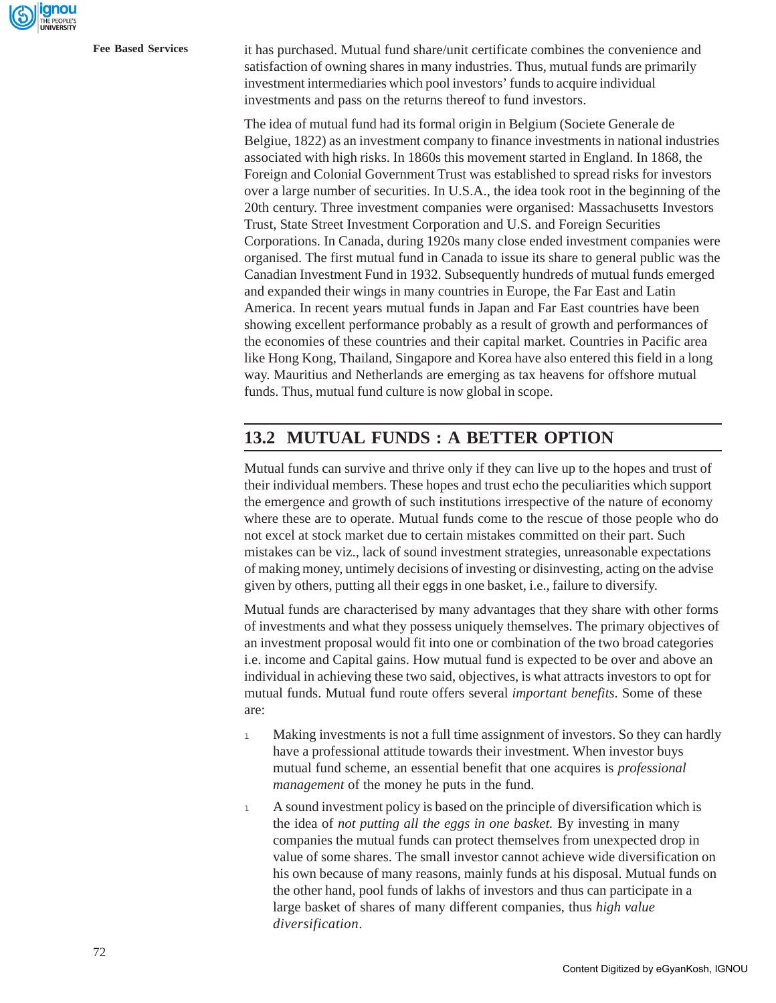**Fee Based Services** it has purchased. Mutual fund share/unit certificate combines the convenience and satisfaction of owning shares in many industries. Thus, mutual funds are primarily investment intermediaries which pool investors' funds to acquire individual investments and pass on the returns thereof to fund investors.

> The idea of mutual fund had its formal origin in Belgium (Societe Generale de Belgiue, 1822) as an investment company to finance investments in national industries associated with high risks. In 1860s this movement started in England. In 1868, the Foreign and Colonial Government Trust was established to spread risks for investors over a large number of securities. In U.S.A., the idea took root in the beginning of the 20th century. Three investment companies were organised: Massachusetts Investors Trust, State Street Investment Corporation and U.S. and Foreign Securities Corporations. In Canada, during 1920s many close ended investment companies were organised. The first mutual fund in Canada to issue its share to general public was the Canadian Investment Fund in 1932. Subsequently hundreds of mutual funds emerged and expanded their wings in many countries in Europe, the Far East and Latin America. In recent years mutual funds in Japan and Far East countries have been showing excellent performance probably as a result of growth and performances of the economies of these countries and their capital market. Countries in Pacific area like Hong Kong, Thailand, Singapore and Korea have also entered this field in a long way. Mauritius and Netherlands are emerging as tax heavens for offshore mutual funds. Thus, mutual fund culture is now global in scope.

# **13.2 MUTUAL FUNDS : A BETTER OPTION**

Mutual funds can survive and thrive only if they can live up to the hopes and trust of their individual members. These hopes and trust echo the peculiarities which support the emergence and growth of such institutions irrespective of the nature of economy where these are to operate. Mutual funds come to the rescue of those people who do not excel at stock market due to certain mistakes committed on their part. Such mistakes can be viz., lack of sound investment strategies, unreasonable expectations of making money, untimely decisions of investing or disinvesting, acting on the advise given by others, putting all their eggs in one basket, i.e., failure to diversify.

Mutual funds are characterised by many advantages that they share with other forms of investments and what they possess uniquely themselves. The primary objectives of an investment proposal would fit into one or combination of the two broad categories i.e. income and Capital gains. How mutual fund is expected to be over and above an individual in achieving these two said, objectives, is what attracts investors to opt for mutual funds. Mutual fund route offers several *important benefits*. Some of these are:

- <sup>l</sup> Making investments is not a full time assignment of investors. So they can hardly have a professional attitude towards their investment. When investor buys mutual fund scheme, an essential benefit that one acquires is *professional management* of the money he puts in the fund.
- 1 A sound investment policy is based on the principle of diversification which is the idea of *not putting all the eggs in one basket.* By investing in many companies the mutual funds can protect themselves from unexpected drop in value of some shares. The small investor cannot achieve wide diversification on his own because of many reasons, mainly funds at his disposal. Mutual funds on the other hand, pool funds of lakhs of investors and thus can participate in a large basket of shares of many different companies, thus *high value diversification*.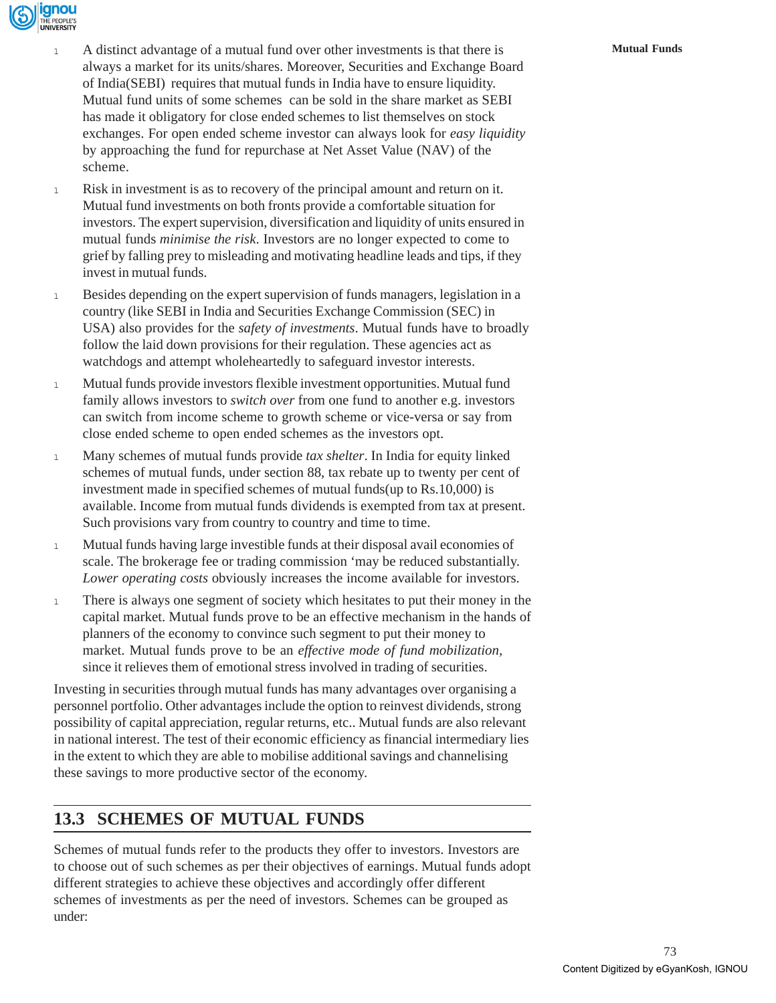

- <sup>l</sup> A distinct advantage of a mutual fund over other investments is that there is **Mutual Funds** always a market for its units/shares. Moreover, Securities and Exchange Board of India(SEBI) requires that mutual funds in India have to ensure liquidity. Mutual fund units of some schemes can be sold in the share market as SEBI has made it obligatory for close ended schemes to list themselves on stock exchanges. For open ended scheme investor can always look for *easy liquidity* by approaching the fund for repurchase at Net Asset Value (NAV) of the scheme.
- <sup>l</sup> Risk in investment is as to recovery of the principal amount and return on it. Mutual fund investments on both fronts provide a comfortable situation for investors. The expert supervision, diversification and liquidity of units ensured in mutual funds *minimise the risk*. Investors are no longer expected to come to grief by falling prey to misleading and motivating headline leads and tips, if they invest in mutual funds.
- <sup>l</sup> Besides depending on the expert supervision of funds managers, legislation in a country (like SEBI in India and Securities Exchange Commission (SEC) in USA) also provides for the *safety of investments*. Mutual funds have to broadly follow the laid down provisions for their regulation. These agencies act as watchdogs and attempt wholeheartedly to safeguard investor interests.
- <sup>l</sup> Mutual funds provide investors flexible investment opportunities. Mutual fund family allows investors to *switch over* from one fund to another e.g. investors can switch from income scheme to growth scheme or vice-versa or say from close ended scheme to open ended schemes as the investors opt.
- <sup>l</sup> Many schemes of mutual funds provide *tax shelter*. In India for equity linked schemes of mutual funds, under section 88, tax rebate up to twenty per cent of investment made in specified schemes of mutual funds(up to Rs.10,000) is available. Income from mutual funds dividends is exempted from tax at present. Such provisions vary from country to country and time to time.
- <sup>l</sup> Mutual funds having large investible funds at their disposal avail economies of scale. The brokerage fee or trading commission 'may be reduced substantially. *Lower operating costs* obviously increases the income available for investors.
- <sup>l</sup> There is always one segment of society which hesitates to put their money in the capital market. Mutual funds prove to be an effective mechanism in the hands of planners of the economy to convince such segment to put their money to market. Mutual funds prove to be an *effective mode of fund mobilization,* since it relieves them of emotional stress involved in trading of securities.

Investing in securities through mutual funds has many advantages over organising a personnel portfolio. Other advantages include the option to reinvest dividends, strong possibility of capital appreciation, regular returns, etc.. Mutual funds are also relevant in national interest. The test of their economic efficiency as financial intermediary lies in the extent to which they are able to mobilise additional savings and channelising these savings to more productive sector of the economy.

# **13.3 SCHEMES OF MUTUAL FUNDS**

Schemes of mutual funds refer to the products they offer to investors. Investors are to choose out of such schemes as per their objectives of earnings. Mutual funds adopt different strategies to achieve these objectives and accordingly offer different schemes of investments as per the need of investors. Schemes can be grouped as under: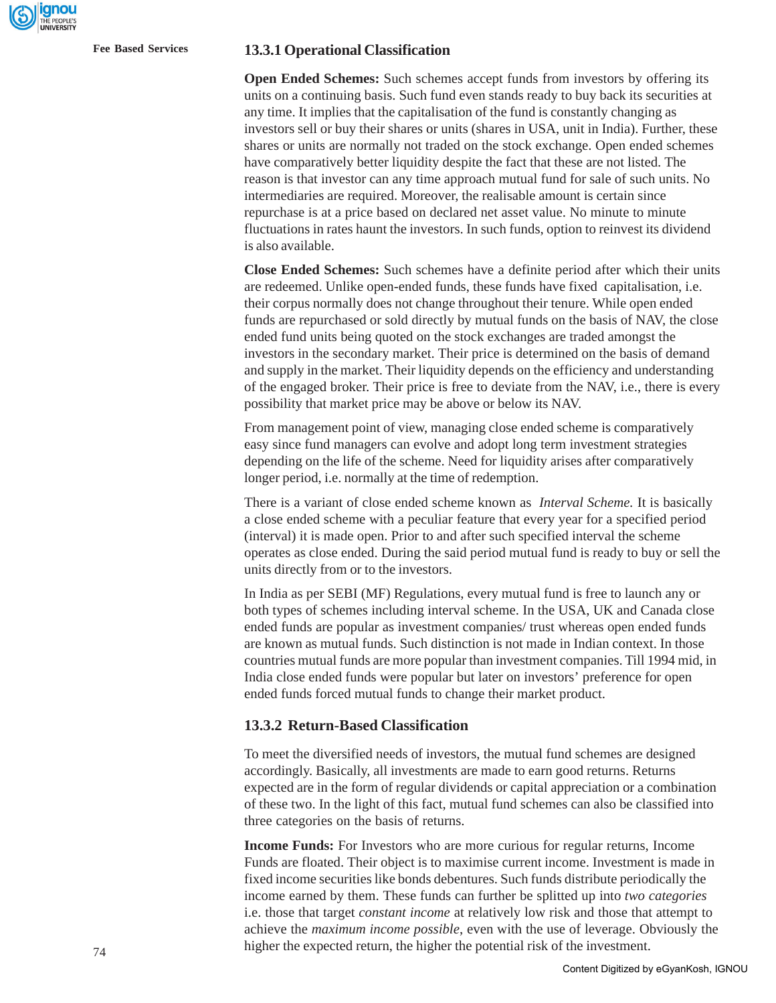#### **Fee Based Services 13.3.1 Operational Classification**

**Open Ended Schemes:** Such schemes accept funds from investors by offering its units on a continuing basis. Such fund even stands ready to buy back its securities at any time. It implies that the capitalisation of the fund is constantly changing as investors sell or buy their shares or units (shares in USA, unit in India). Further, these shares or units are normally not traded on the stock exchange. Open ended schemes have comparatively better liquidity despite the fact that these are not listed. The reason is that investor can any time approach mutual fund for sale of such units. No intermediaries are required. Moreover, the realisable amount is certain since repurchase is at a price based on declared net asset value. No minute to minute fluctuations in rates haunt the investors. In such funds, option to reinvest its dividend is also available.

**Close Ended Schemes:** Such schemes have a definite period after which their units are redeemed. Unlike open-ended funds, these funds have fixed capitalisation, i.e. their corpus normally does not change throughout their tenure. While open ended funds are repurchased or sold directly by mutual funds on the basis of NAV, the close ended fund units being quoted on the stock exchanges are traded amongst the investors in the secondary market. Their price is determined on the basis of demand and supply in the market. Their liquidity depends on the efficiency and understanding of the engaged broker. Their price is free to deviate from the NAV, i.e., there is every possibility that market price may be above or below its NAV.

From management point of view, managing close ended scheme is comparatively easy since fund managers can evolve and adopt long term investment strategies depending on the life of the scheme. Need for liquidity arises after comparatively longer period, i.e. normally at the time of redemption.

There is a variant of close ended scheme known as *Interval Scheme.* It is basically a close ended scheme with a peculiar feature that every year for a specified period (interval) it is made open. Prior to and after such specified interval the scheme operates as close ended. During the said period mutual fund is ready to buy or sell the units directly from or to the investors.

In India as per SEBI (MF) Regulations, every mutual fund is free to launch any or both types of schemes including interval scheme. In the USA, UK and Canada close ended funds are popular as investment companies/ trust whereas open ended funds are known as mutual funds. Such distinction is not made in Indian context. In those countries mutual funds are more popular than investment companies. Till 1994 mid, in India close ended funds were popular but later on investors' preference for open ended funds forced mutual funds to change their market product.

#### **13.3.2 Return-Based Classification**

To meet the diversified needs of investors, the mutual fund schemes are designed accordingly. Basically, all investments are made to earn good returns. Returns expected are in the form of regular dividends or capital appreciation or a combination of these two. In the light of this fact, mutual fund schemes can also be classified into three categories on the basis of returns.

**Income Funds:** For Investors who are more curious for regular returns, Income Funds are floated. Their object is to maximise current income. Investment is made in fixed income securities like bonds debentures. Such funds distribute periodically the income earned by them. These funds can further be splitted up into *two categories* i.e. those that target *constant income* at relatively low risk and those that attempt to achieve the *maximum income possible*, even with the use of leverage. Obviously the higher the expected return, the higher the potential risk of the investment.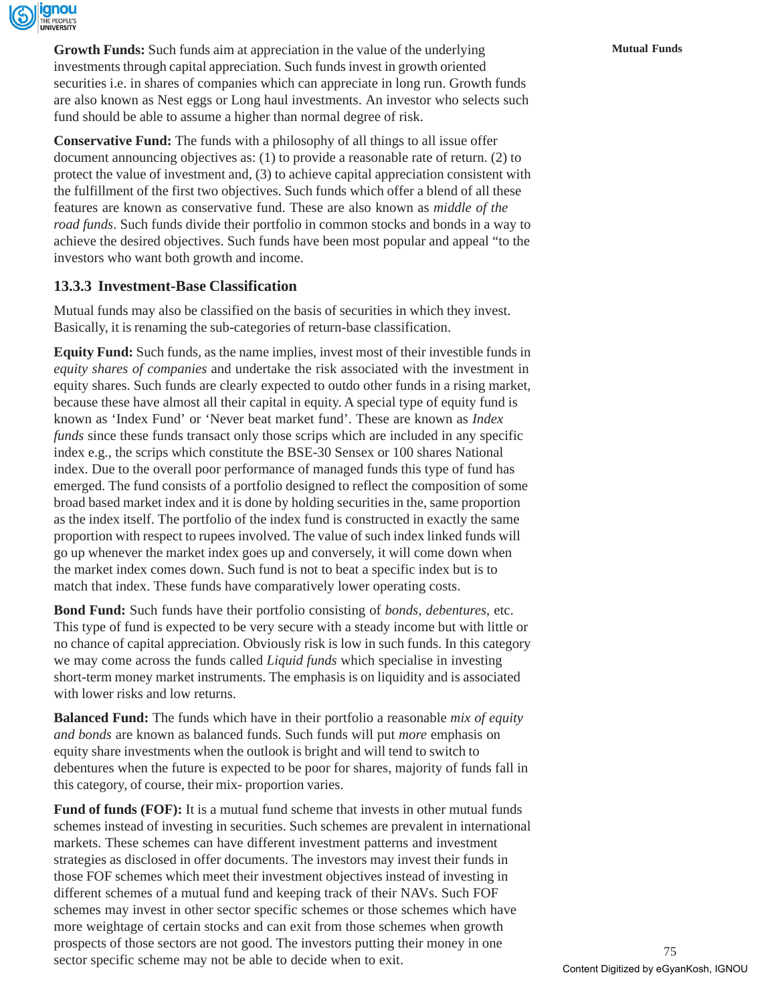

**Growth Funds:** Such funds aim at appreciation in the value of the underlying **Mutual Funds** investments through capital appreciation. Such funds invest in growth oriented securities i.e. in shares of companies which can appreciate in long run. Growth funds are also known as Nest eggs or Long haul investments. An investor who selects such fund should be able to assume a higher than normal degree of risk.

**Conservative Fund:** The funds with a philosophy of all things to all issue offer document announcing objectives as: (1) to provide a reasonable rate of return. (2) to protect the value of investment and, (3) to achieve capital appreciation consistent with the fulfillment of the first two objectives. Such funds which offer a blend of all these features are known as conservative fund. These are also known as *middle of the road funds*. Such funds divide their portfolio in common stocks and bonds in a way to achieve the desired objectives. Such funds have been most popular and appeal "to the investors who want both growth and income.

#### **13.3.3 Investment-Base Classification**

Mutual funds may also be classified on the basis of securities in which they invest. Basically, it is renaming the sub-categories of return-base classification.

**Equity Fund:** Such funds, as the name implies, invest most of their investible funds in *equity shares of companies* and undertake the risk associated with the investment in equity shares. Such funds are clearly expected to outdo other funds in a rising market, because these have almost all their capital in equity. A special type of equity fund is known as 'Index Fund' or 'Never beat market fund'. These are known as *Index funds* since these funds transact only those scrips which are included in any specific index e.g., the scrips which constitute the BSE-30 Sensex or 100 shares National index. Due to the overall poor performance of managed funds this type of fund has emerged. The fund consists of a portfolio designed to reflect the composition of some broad based market index and it is done by holding securities in the, same proportion as the index itself. The portfolio of the index fund is constructed in exactly the same proportion with respect to rupees involved. The value of such index linked funds will go up whenever the market index goes up and conversely, it will come down when the market index comes down. Such fund is not to beat a specific index but is to match that index. These funds have comparatively lower operating costs.

**Bond Fund:** Such funds have their portfolio consisting of *bonds, debentures*, etc. This type of fund is expected to be very secure with a steady income but with little or no chance of capital appreciation. Obviously risk is low in such funds. In this category we may come across the funds called *Liquid funds* which specialise in investing short-term money market instruments. The emphasis is on liquidity and is associated with lower risks and low returns.

**Balanced Fund:** The funds which have in their portfolio a reasonable *mix of equity and bonds* are known as balanced funds. Such funds will put *more* emphasis on equity share investments when the outlook is bright and will tend to switch to debentures when the future is expected to be poor for shares, majority of funds fall in this category, of course, their mix- proportion varies.

**Fund of funds (FOF):** It is a mutual fund scheme that invests in other mutual funds schemes instead of investing in securities. Such schemes are prevalent in international markets. These schemes can have different investment patterns and investment strategies as disclosed in offer documents. The investors may invest their funds in those FOF schemes which meet their investment objectives instead of investing in different schemes of a mutual fund and keeping track of their NAVs. Such FOF schemes may invest in other sector specific schemes or those schemes which have more weightage of certain stocks and can exit from those schemes when growth prospects of those sectors are not good. The investors putting their money in one sector specific scheme may not be able to decide when to exit.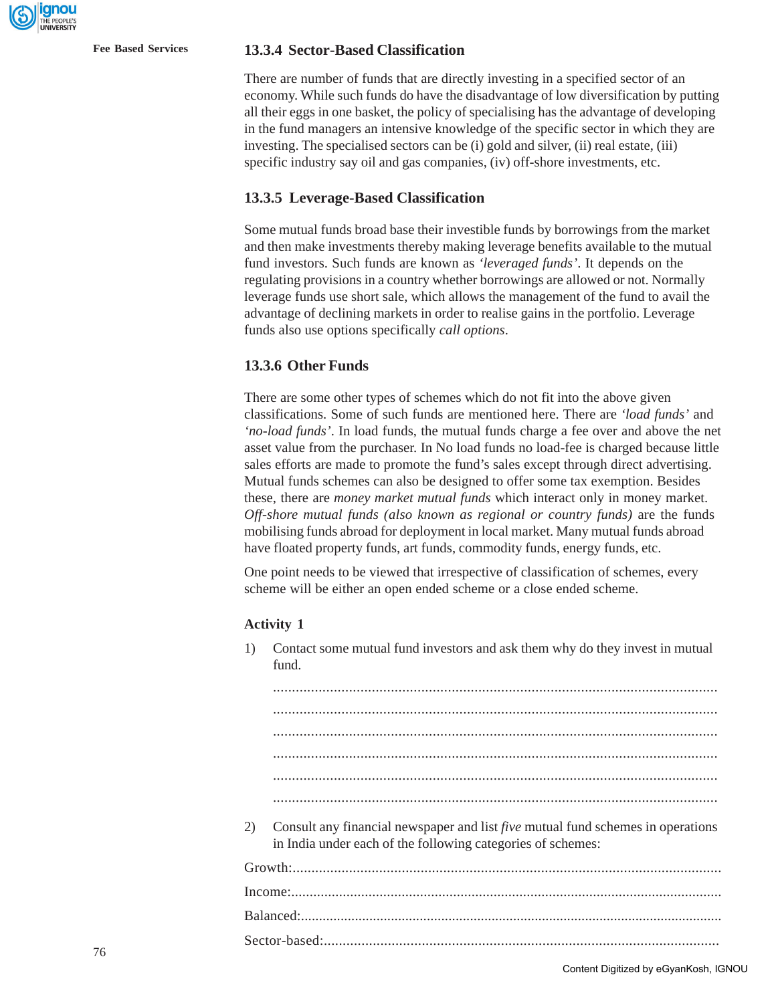

#### **Fee Based Services 13.3.4 Sector-Based Classification**

There are number of funds that are directly investing in a specified sector of an economy. While such funds do have the disadvantage of low diversification by putting all their eggs in one basket, the policy of specialising has the advantage of developing in the fund managers an intensive knowledge of the specific sector in which they are investing. The specialised sectors can be (i) gold and silver, (ii) real estate, (iii) specific industry say oil and gas companies, (iv) off-shore investments, etc.

#### **13.3.5 Leverage-Based Classification**

Some mutual funds broad base their investible funds by borrowings from the market and then make investments thereby making leverage benefits available to the mutual fund investors. Such funds are known as *'leveraged funds'*. It depends on the regulating provisions in a country whether borrowings are allowed or not. Normally leverage funds use short sale, which allows the management of the fund to avail the advantage of declining markets in order to realise gains in the portfolio. Leverage funds also use options specifically *call options*.

#### **13.3.6 Other Funds**

There are some other types of schemes which do not fit into the above given classifications. Some of such funds are mentioned here. There are *'load funds'* and *'no-load funds'*. In load funds, the mutual funds charge a fee over and above the net asset value from the purchaser. In No load funds no load-fee is charged because little sales efforts are made to promote the fund's sales except through direct advertising. Mutual funds schemes can also be designed to offer some tax exemption. Besides these, there are *money market mutual funds* which interact only in money market. *Off-shore mutual funds (also known as regional or country funds)* are the funds mobilising funds abroad for deployment in local market. Many mutual funds abroad have floated property funds, art funds, commodity funds, energy funds, etc.

One point needs to be viewed that irrespective of classification of schemes, every scheme will be either an open ended scheme or a close ended scheme.

#### **Activity 1**

1) Contact some mutual fund investors and ask them why do they invest in mutual fund.

| 2) | Consult any financial newspaper and list <i>five</i> mutual fund schemes in operations<br>in India under each of the following categories of schemes: |
|----|-------------------------------------------------------------------------------------------------------------------------------------------------------|
|    |                                                                                                                                                       |
|    |                                                                                                                                                       |
|    |                                                                                                                                                       |
|    |                                                                                                                                                       |
|    |                                                                                                                                                       |

Content Digitized by eGyanKosh, IGNOU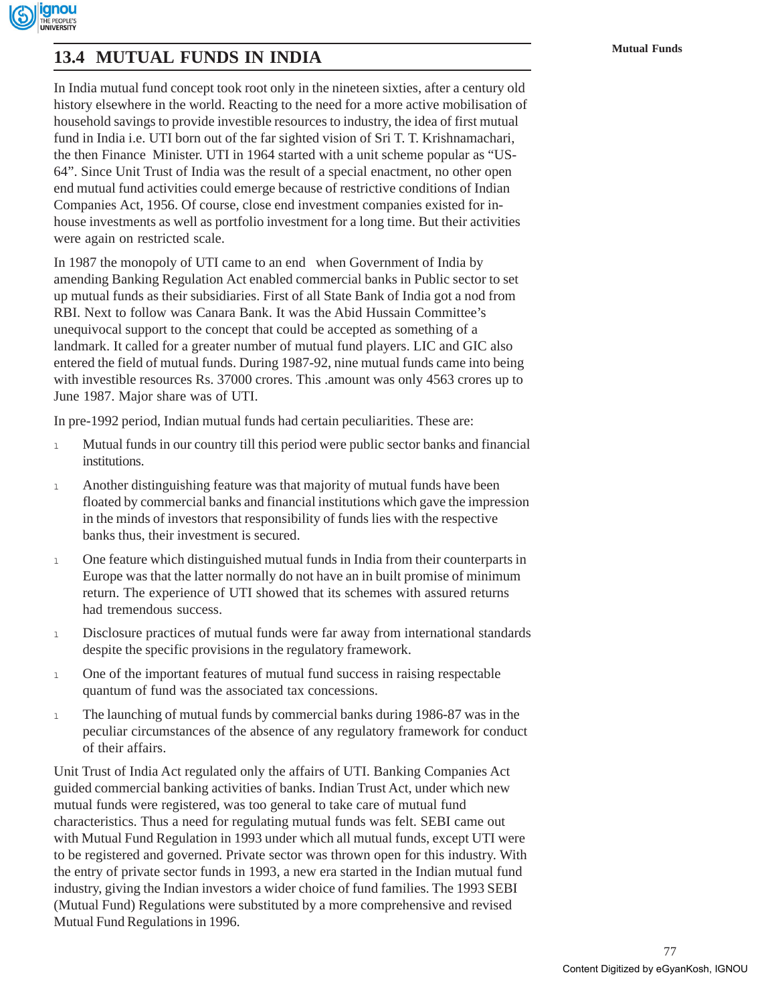

In India mutual fund concept took root only in the nineteen sixties, after a century old history elsewhere in the world. Reacting to the need for a more active mobilisation of household savings to provide investible resources to industry, the idea of first mutual fund in India i.e. UTI born out of the far sighted vision of Sri T. T. Krishnamachari, the then Finance Minister. UTI in 1964 started with a unit scheme popular as "US-64". Since Unit Trust of India was the result of a special enactment, no other open end mutual fund activities could emerge because of restrictive conditions of Indian Companies Act, 1956. Of course, close end investment companies existed for inhouse investments as well as portfolio investment for a long time. But their activities were again on restricted scale.

In 1987 the monopoly of UTI came to an end when Government of India by amending Banking Regulation Act enabled commercial banks in Public sector to set up mutual funds as their subsidiaries. First of all State Bank of India got a nod from RBI. Next to follow was Canara Bank. It was the Abid Hussain Committee's unequivocal support to the concept that could be accepted as something of a landmark. It called for a greater number of mutual fund players. LIC and GIC also entered the field of mutual funds. During 1987-92, nine mutual funds came into being with investible resources Rs. 37000 crores. This .amount was only 4563 crores up to June 1987. Major share was of UTI.

In pre-1992 period, Indian mutual funds had certain peculiarities. These are:

- <sup>l</sup> Mutual funds in our country till this period were public sector banks and financial institutions.
- 1 Another distinguishing feature was that majority of mutual funds have been floated by commercial banks and financial institutions which gave the impression in the minds of investors that responsibility of funds lies with the respective banks thus, their investment is secured.
- <sup>l</sup> One feature which distinguished mutual funds in India from their counterparts in Europe was that the latter normally do not have an in built promise of minimum return. The experience of UTI showed that its schemes with assured returns had tremendous success.
- <sup>l</sup> Disclosure practices of mutual funds were far away from international standards despite the specific provisions in the regulatory framework.
- <sup>l</sup> One of the important features of mutual fund success in raising respectable quantum of fund was the associated tax concessions.
- <sup>l</sup> The launching of mutual funds by commercial banks during 1986-87 was in the peculiar circumstances of the absence of any regulatory framework for conduct of their affairs.

Unit Trust of India Act regulated only the affairs of UTI. Banking Companies Act guided commercial banking activities of banks. Indian Trust Act, under which new mutual funds were registered, was too general to take care of mutual fund characteristics. Thus a need for regulating mutual funds was felt. SEBI came out with Mutual Fund Regulation in 1993 under which all mutual funds, except UTI were to be registered and governed. Private sector was thrown open for this industry. With the entry of private sector funds in 1993, a new era started in the Indian mutual fund industry, giving the Indian investors a wider choice of fund families. The 1993 SEBI (Mutual Fund) Regulations were substituted by a more comprehensive and revised Mutual Fund Regulations in 1996.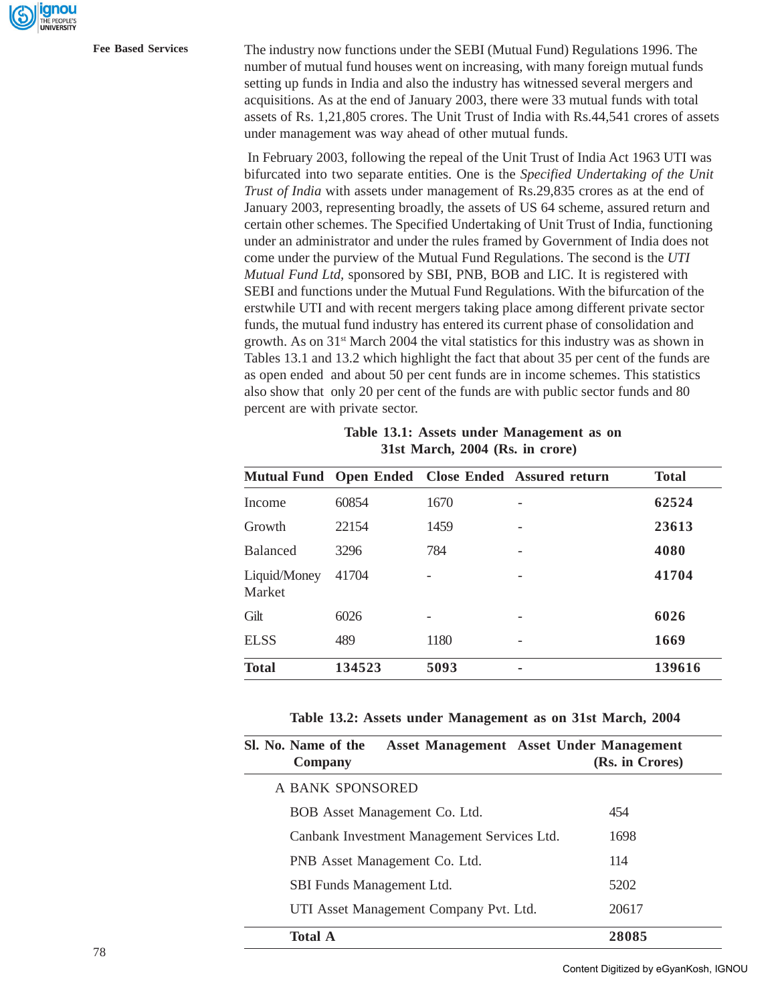**Fee Based Services** The industry now functions under the SEBI (Mutual Fund) Regulations 1996. The number of mutual fund houses went on increasing, with many foreign mutual funds setting up funds in India and also the industry has witnessed several mergers and acquisitions. As at the end of January 2003, there were 33 mutual funds with total assets of Rs. 1,21,805 crores. The Unit Trust of India with Rs.44,541 crores of assets under management was way ahead of other mutual funds.

> In February 2003, following the repeal of the Unit Trust of India Act 1963 UTI was bifurcated into two separate entities. One is the *Specified Undertaking of the Unit Trust of India* with assets under management of Rs.29,835 crores as at the end of January 2003, representing broadly, the assets of US 64 scheme, assured return and certain other schemes. The Specified Undertaking of Unit Trust of India, functioning under an administrator and under the rules framed by Government of India does not come under the purview of the Mutual Fund Regulations. The second is the *UTI Mutual Fund Ltd,* sponsored by SBI, PNB, BOB and LIC. It is registered with SEBI and functions under the Mutual Fund Regulations. With the bifurcation of the erstwhile UTI and with recent mergers taking place among different private sector funds, the mutual fund industry has entered its current phase of consolidation and growth. As on 31st March 2004 the vital statistics for this industry was as shown in Tables 13.1 and 13.2 which highlight the fact that about 35 per cent of the funds are as open ended and about 50 per cent funds are in income schemes. This statistics also show that only 20 per cent of the funds are with public sector funds and 80 percent are with private sector.

|  |                                 |  | Table 13.1: Assets under Management as on |  |
|--|---------------------------------|--|-------------------------------------------|--|
|  | 31st March, 2004 (Rs. in crore) |  |                                           |  |

|                        |        |                          | Mutual Fund Open Ended Close Ended Assured return | <b>Total</b> |
|------------------------|--------|--------------------------|---------------------------------------------------|--------------|
| Income                 | 60854  | 1670                     | -                                                 | 62524        |
| Growth                 | 22154  | 1459                     | -                                                 | 23613        |
| <b>Balanced</b>        | 3296   | 784                      |                                                   | 4080         |
| Liquid/Money<br>Market | 41704  |                          | -                                                 | 41704        |
| Gilt                   | 6026   | $\overline{\phantom{0}}$ | $\qquad \qquad$                                   | 6026         |
| <b>ELSS</b>            | 489    | 1180                     | -                                                 | 1669         |
| <b>Total</b>           | 134523 | 5093                     | ۰                                                 | 139616       |

#### **Table 13.2: Assets under Management as on 31st March, 2004**

| Sl. No. Name of the<br>Company | <b>Asset Management Asset Under Management</b> | (Rs. in Crores) |
|--------------------------------|------------------------------------------------|-----------------|
| A BANK SPONSORED               |                                                |                 |
|                                | BOB Asset Management Co. Ltd.                  | 454             |
|                                | Canbank Investment Management Services Ltd.    | 1698            |
|                                | PNB Asset Management Co. Ltd.                  | 114             |
| SBI Funds Management Ltd.      |                                                | 5202            |
|                                | UTI Asset Management Company Pvt. Ltd.         | 20617           |
| <b>Total A</b>                 |                                                | 28085           |

Content Digitized by eGyanKosh, IGNOU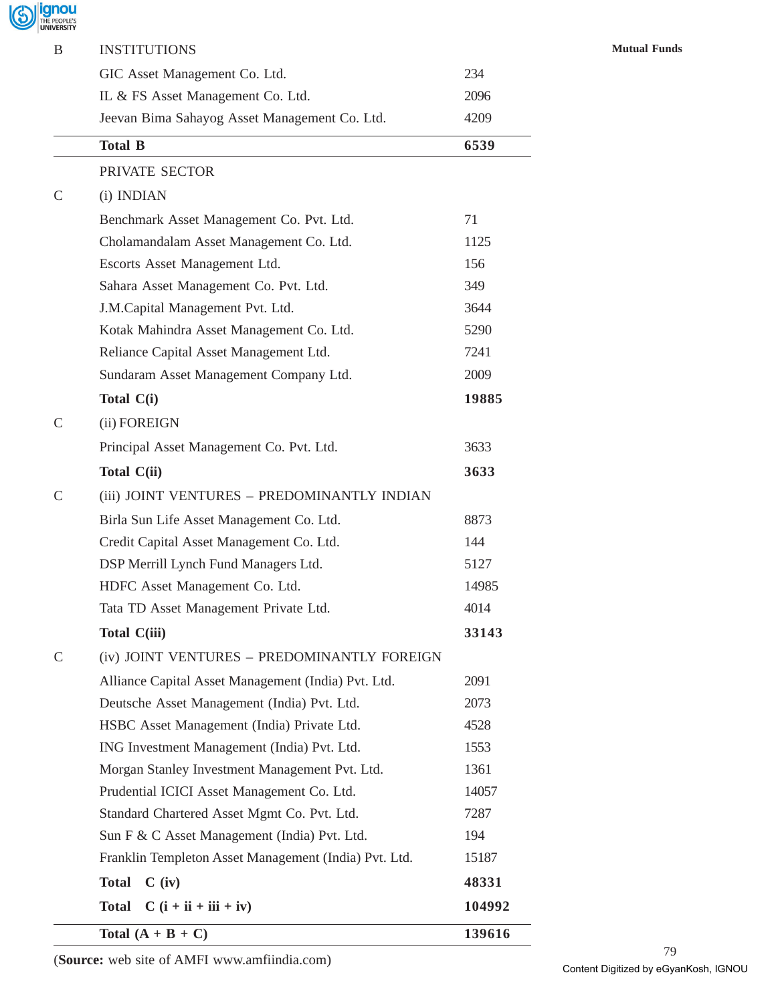

|               | Total $(A + B + C)$                                   | 139616 |
|---------------|-------------------------------------------------------|--------|
|               | <b>Total</b><br>$C(i + ii + iii + iv)$                | 104992 |
|               | <b>Total</b><br>$C$ (iv)                              | 48331  |
|               | Franklin Templeton Asset Management (India) Pvt. Ltd. | 15187  |
|               | Sun F & C Asset Management (India) Pvt. Ltd.          | 194    |
|               | Standard Chartered Asset Mgmt Co. Pvt. Ltd.           | 7287   |
|               | Prudential ICICI Asset Management Co. Ltd.            | 14057  |
|               | Morgan Stanley Investment Management Pvt. Ltd.        | 1361   |
|               | ING Investment Management (India) Pvt. Ltd.           | 1553   |
|               | HSBC Asset Management (India) Private Ltd.            | 4528   |
|               | Deutsche Asset Management (India) Pvt. Ltd.           | 2073   |
|               | Alliance Capital Asset Management (India) Pvt. Ltd.   | 2091   |
| C             | (iv) JOINT VENTURES - PREDOMINANTLY FOREIGN           |        |
|               | Total C(iii)                                          | 33143  |
|               | Tata TD Asset Management Private Ltd.                 | 4014   |
|               | HDFC Asset Management Co. Ltd.                        | 14985  |
|               | DSP Merrill Lynch Fund Managers Ltd.                  | 5127   |
|               | Credit Capital Asset Management Co. Ltd.              | 144    |
|               | Birla Sun Life Asset Management Co. Ltd.              | 8873   |
| $\mathcal{C}$ | (iii) JOINT VENTURES - PREDOMINANTLY INDIAN           |        |
|               | Total C(ii)                                           | 3633   |
|               | Principal Asset Management Co. Pvt. Ltd.              | 3633   |
| $\mathcal{C}$ | (ii) FOREIGN                                          |        |
|               | Total C(i)                                            | 19885  |
|               | Sundaram Asset Management Company Ltd.                | 2009   |
|               | Reliance Capital Asset Management Ltd.                | 7241   |
|               | Kotak Mahindra Asset Management Co. Ltd.              | 5290   |
|               | J.M.Capital Management Pvt. Ltd.                      | 3644   |
|               | Sahara Asset Management Co. Pvt. Ltd.                 | 349    |
|               | Escorts Asset Management Ltd.                         | 156    |
|               | Cholamandalam Asset Management Co. Ltd.               | 1125   |
|               | Benchmark Asset Management Co. Pvt. Ltd.              | 71     |
| $\mathcal{C}$ | (i) INDIAN                                            |        |
|               | PRIVATE SECTOR                                        |        |
|               | <b>Total B</b>                                        | 6539   |
|               | Jeevan Bima Sahayog Asset Management Co. Ltd.         | 4209   |
|               | IL & FS Asset Management Co. Ltd.                     | 2096   |
|               | GIC Asset Management Co. Ltd.                         | 234    |
|               |                                                       |        |

(**Source:** web site of AMFI www.amfiindia.com)

**Mutual Funds**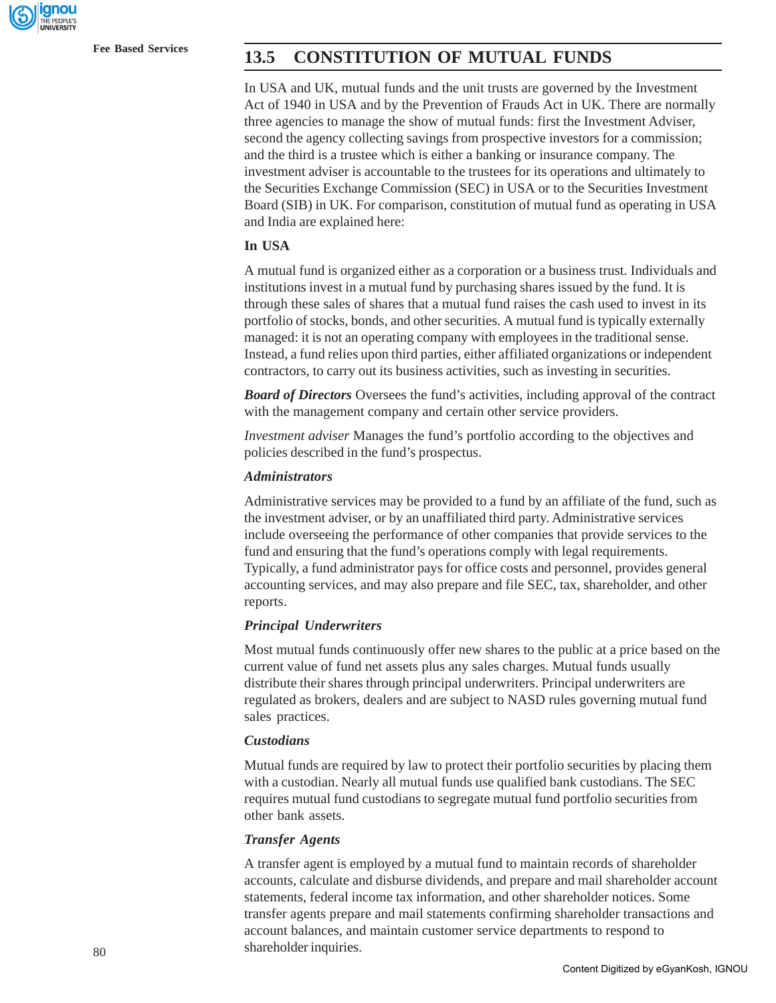

# **Fee Based Services 13.5 CONSTITUTION OF MUTUAL FUNDS**

In USA and UK, mutual funds and the unit trusts are governed by the Investment Act of 1940 in USA and by the Prevention of Frauds Act in UK. There are normally three agencies to manage the show of mutual funds: first the Investment Adviser, second the agency collecting savings from prospective investors for a commission; and the third is a trustee which is either a banking or insurance company. The investment adviser is accountable to the trustees for its operations and ultimately to the Securities Exchange Commission (SEC) in USA or to the Securities Investment Board (SIB) in UK. For comparison, constitution of mutual fund as operating in USA and India are explained here:

#### **In USA**

A mutual fund is organized either as a corporation or a business trust. Individuals and institutions invest in a mutual fund by purchasing shares issued by the fund. It is through these sales of shares that a mutual fund raises the cash used to invest in its portfolio of stocks, bonds, and other securities. A mutual fund is typically externally managed: it is not an operating company with employees in the traditional sense. Instead, a fund relies upon third parties, either affiliated organizations or independent contractors, to carry out its business activities, such as investing in securities.

*Board of Directors* Oversees the fund's activities, including approval of the contract with the management company and certain other service providers.

*Investment adviser* Manages the fund's portfolio according to the objectives and policies described in the fund's prospectus.

#### *Administrators*

Administrative services may be provided to a fund by an affiliate of the fund, such as the investment adviser, or by an unaffiliated third party. Administrative services include overseeing the performance of other companies that provide services to the fund and ensuring that the fund's operations comply with legal requirements. Typically, a fund administrator pays for office costs and personnel, provides general accounting services, and may also prepare and file SEC, tax, shareholder, and other reports.

#### *Principal Underwriters*

Most mutual funds continuously offer new shares to the public at a price based on the current value of fund net assets plus any sales charges. Mutual funds usually distribute their shares through principal underwriters. Principal underwriters are regulated as brokers, dealers and are subject to NASD rules governing mutual fund sales practices.

#### *Custodians*

Mutual funds are required by law to protect their portfolio securities by placing them with a custodian. Nearly all mutual funds use qualified bank custodians. The SEC requires mutual fund custodians to segregate mutual fund portfolio securities from other bank assets.

#### *Transfer Agents*

A transfer agent is employed by a mutual fund to maintain records of shareholder accounts, calculate and disburse dividends, and prepare and mail shareholder account statements, federal income tax information, and other shareholder notices. Some transfer agents prepare and mail statements confirming shareholder transactions and account balances, and maintain customer service departments to respond to shareholder inquiries.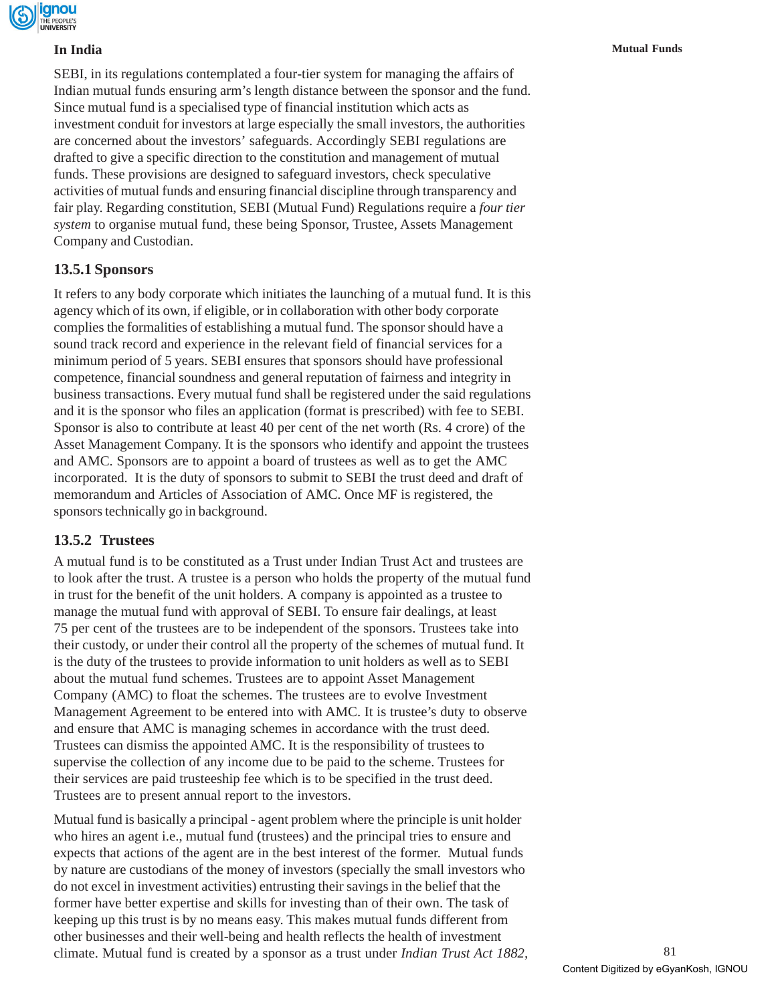

SEBI, in its regulations contemplated a four-tier system for managing the affairs of Indian mutual funds ensuring arm's length distance between the sponsor and the fund. Since mutual fund is a specialised type of financial institution which acts as investment conduit for investors at large especially the small investors, the authorities are concerned about the investors' safeguards. Accordingly SEBI regulations are drafted to give a specific direction to the constitution and management of mutual funds. These provisions are designed to safeguard investors, check speculative activities of mutual funds and ensuring financial discipline through transparency and fair play. Regarding constitution, SEBI (Mutual Fund) Regulations require a *four tier system* to organise mutual fund, these being Sponsor, Trustee, Assets Management Company and Custodian.

### **13.5.1 Sponsors**

It refers to any body corporate which initiates the launching of a mutual fund. It is this agency which of its own, if eligible, or in collaboration with other body corporate complies the formalities of establishing a mutual fund. The sponsor should have a sound track record and experience in the relevant field of financial services for a minimum period of 5 years. SEBI ensures that sponsors should have professional competence, financial soundness and general reputation of fairness and integrity in business transactions. Every mutual fund shall be registered under the said regulations and it is the sponsor who files an application (format is prescribed) with fee to SEBI. Sponsor is also to contribute at least 40 per cent of the net worth (Rs. 4 crore) of the Asset Management Company. It is the sponsors who identify and appoint the trustees and AMC. Sponsors are to appoint a board of trustees as well as to get the AMC incorporated. It is the duty of sponsors to submit to SEBI the trust deed and draft of memorandum and Articles of Association of AMC. Once MF is registered, the sponsors technically go in background.

### **13.5.2 Trustees**

A mutual fund is to be constituted as a Trust under Indian Trust Act and trustees are to look after the trust. A trustee is a person who holds the property of the mutual fund in trust for the benefit of the unit holders. A company is appointed as a trustee to manage the mutual fund with approval of SEBI. To ensure fair dealings, at least 75 per cent of the trustees are to be independent of the sponsors. Trustees take into their custody, or under their control all the property of the schemes of mutual fund. It is the duty of the trustees to provide information to unit holders as well as to SEBI about the mutual fund schemes. Trustees are to appoint Asset Management Company (AMC) to float the schemes. The trustees are to evolve Investment Management Agreement to be entered into with AMC. It is trustee's duty to observe and ensure that AMC is managing schemes in accordance with the trust deed. Trustees can dismiss the appointed AMC. It is the responsibility of trustees to supervise the collection of any income due to be paid to the scheme. Trustees for their services are paid trusteeship fee which is to be specified in the trust deed. Trustees are to present annual report to the investors.

Mutual fund is basically a principal - agent problem where the principle is unit holder who hires an agent i.e., mutual fund (trustees) and the principal tries to ensure and expects that actions of the agent are in the best interest of the former. Mutual funds by nature are custodians of the money of investors (specially the small investors who do not excel in investment activities) entrusting their savings in the belief that the former have better expertise and skills for investing than of their own. The task of keeping up this trust is by no means easy. This makes mutual funds different from other businesses and their well-being and health reflects the health of investment climate. Mutual fund is created by a sponsor as a trust under *Indian Trust Act 1882,*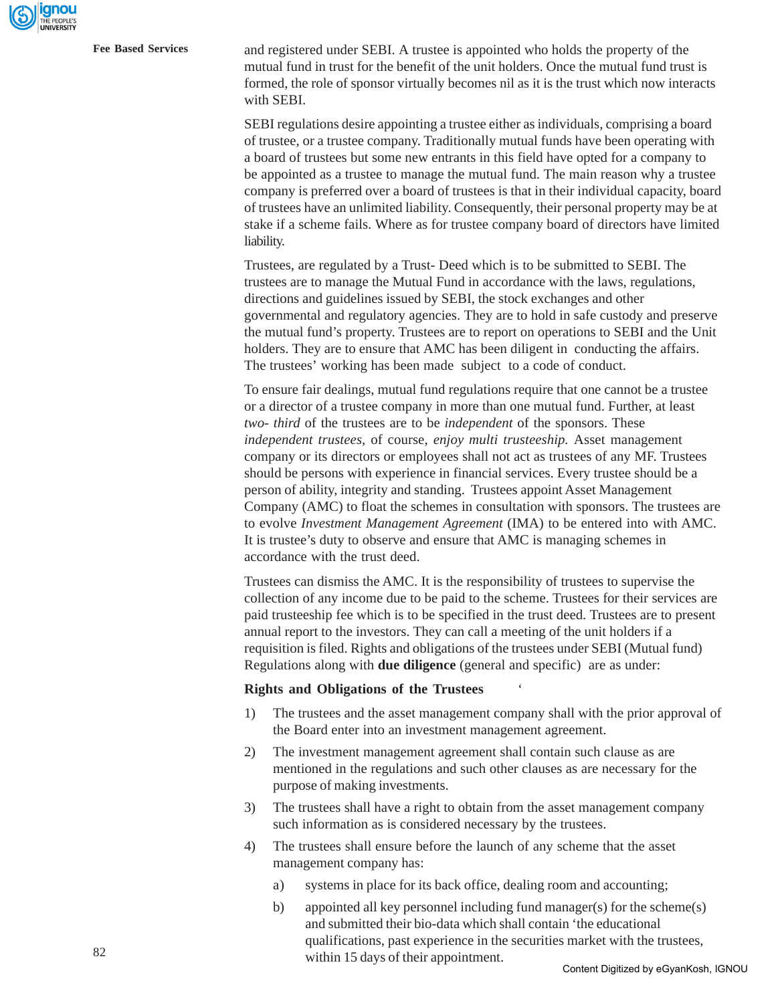

**Fee Based Services** and registered under SEBI. A trustee is appointed who holds the property of the mutual fund in trust for the benefit of the unit holders. Once the mutual fund trust is formed, the role of sponsor virtually becomes nil as it is the trust which now interacts with SEBI.

> SEBI regulations desire appointing a trustee either as individuals, comprising a board of trustee, or a trustee company. Traditionally mutual funds have been operating with a board of trustees but some new entrants in this field have opted for a company to be appointed as a trustee to manage the mutual fund. The main reason why a trustee company is preferred over a board of trustees is that in their individual capacity, board of trustees have an unlimited liability. Consequently, their personal property may be at stake if a scheme fails. Where as for trustee company board of directors have limited liability.

> Trustees, are regulated by a Trust- Deed which is to be submitted to SEBI. The trustees are to manage the Mutual Fund in accordance with the laws, regulations, directions and guidelines issued by SEBI, the stock exchanges and other governmental and regulatory agencies. They are to hold in safe custody and preserve the mutual fund's property. Trustees are to report on operations to SEBI and the Unit holders. They are to ensure that AMC has been diligent in conducting the affairs. The trustees' working has been made subject to a code of conduct.

> To ensure fair dealings, mutual fund regulations require that one cannot be a trustee or a director of a trustee company in more than one mutual fund. Further, at least *two- third* of the trustees are to be *independent* of the sponsors. These *independent trustees,* of course, *enjoy multi trusteeship.* Asset management company or its directors or employees shall not act as trustees of any MF. Trustees should be persons with experience in financial services. Every trustee should be a person of ability, integrity and standing. Trustees appoint Asset Management Company (AMC) to float the schemes in consultation with sponsors. The trustees are to evolve *Investment Management Agreement* (IMA) to be entered into with AMC. It is trustee's duty to observe and ensure that AMC is managing schemes in accordance with the trust deed.

> Trustees can dismiss the AMC. It is the responsibility of trustees to supervise the collection of any income due to be paid to the scheme. Trustees for their services are paid trusteeship fee which is to be specified in the trust deed. Trustees are to present annual report to the investors. They can call a meeting of the unit holders if a requisition is filed. Rights and obligations of the trustees under SEBI (Mutual fund) Regulations along with **due diligence** (general and specific) are as under:

#### **Rights and Obligations of the Trustees** '

- 1) The trustees and the asset management company shall with the prior approval of the Board enter into an investment management agreement.
- 2) The investment management agreement shall contain such clause as are mentioned in the regulations and such other clauses as are necessary for the purpose of making investments.
- 3) The trustees shall have a right to obtain from the asset management company such information as is considered necessary by the trustees.
- 4) The trustees shall ensure before the launch of any scheme that the asset management company has:
	- a) systems in place for its back office, dealing room and accounting;
	- b) appointed all key personnel including fund manager(s) for the scheme(s) and submitted their bio-data which shall contain 'the educational qualifications, past experience in the securities market with the trustees, within 15 days of their appointment.

Content Digitized by eGyanKosh, IGNOU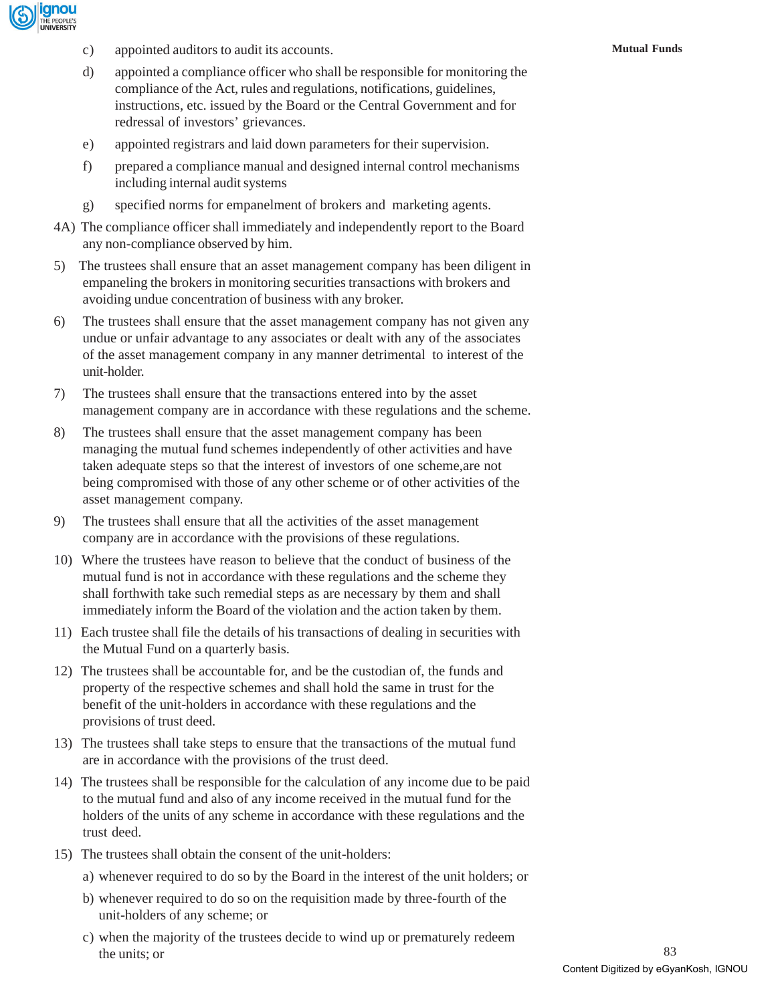

c) appointed auditors to audit its accounts. **Mutual Funds**

- e) appointed registrars and laid down parameters for their supervision.
- f) prepared a compliance manual and designed internal control mechanisms including internal audit systems
- g) specified norms for empanelment of brokers and marketing agents.
- 4A) The compliance officer shall immediately and independently report to the Board any non-compliance observed by him.
- 5) The trustees shall ensure that an asset management company has been diligent in empaneling the brokers in monitoring securities transactions with brokers and avoiding undue concentration of business with any broker.
- 6) The trustees shall ensure that the asset management company has not given any undue or unfair advantage to any associates or dealt with any of the associates of the asset management company in any manner detrimental to interest of the unit-holder.
- 7) The trustees shall ensure that the transactions entered into by the asset management company are in accordance with these regulations and the scheme.
- 8) The trustees shall ensure that the asset management company has been managing the mutual fund schemes independently of other activities and have taken adequate steps so that the interest of investors of one scheme,are not being compromised with those of any other scheme or of other activities of the asset management company.
- 9) The trustees shall ensure that all the activities of the asset management company are in accordance with the provisions of these regulations.
- 10) Where the trustees have reason to believe that the conduct of business of the mutual fund is not in accordance with these regulations and the scheme they shall forthwith take such remedial steps as are necessary by them and shall immediately inform the Board of the violation and the action taken by them.
- 11) Each trustee shall file the details of his transactions of dealing in securities with the Mutual Fund on a quarterly basis.
- 12) The trustees shall be accountable for, and be the custodian of, the funds and property of the respective schemes and shall hold the same in trust for the benefit of the unit-holders in accordance with these regulations and the provisions of trust deed.
- 13) The trustees shall take steps to ensure that the transactions of the mutual fund are in accordance with the provisions of the trust deed.
- 14) The trustees shall be responsible for the calculation of any income due to be paid to the mutual fund and also of any income received in the mutual fund for the holders of the units of any scheme in accordance with these regulations and the trust deed.
- 15) The trustees shall obtain the consent of the unit-holders:
	- a) whenever required to do so by the Board in the interest of the unit holders; or
	- b) whenever required to do so on the requisition made by three-fourth of the unit-holders of any scheme; or
	- c) when the majority of the trustees decide to wind up or prematurely redeem the units; or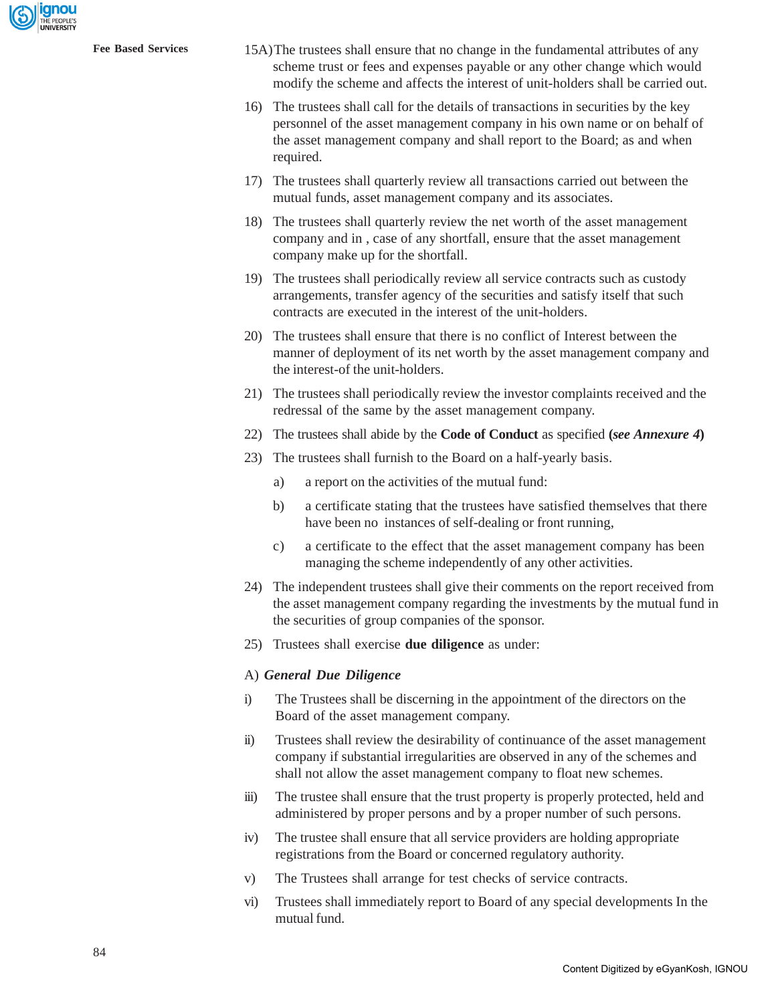gnou

- **Fee Based Services** 15A) The trustees shall ensure that no change in the fundamental attributes of any scheme trust or fees and expenses payable or any other change which would modify the scheme and affects the interest of unit-holders shall be carried out.
	- 16) The trustees shall call for the details of transactions in securities by the key personnel of the asset management company in his own name or on behalf of the asset management company and shall report to the Board; as and when required.
	- 17) The trustees shall quarterly review all transactions carried out between the mutual funds, asset management company and its associates.
	- 18) The trustees shall quarterly review the net worth of the asset management company and in , case of any shortfall, ensure that the asset management company make up for the shortfall.
	- 19) The trustees shall periodically review all service contracts such as custody arrangements, transfer agency of the securities and satisfy itself that such contracts are executed in the interest of the unit-holders.
	- 20) The trustees shall ensure that there is no conflict of Interest between the manner of deployment of its net worth by the asset management company and the interest-of the unit-holders.
	- 21) The trustees shall periodically review the investor complaints received and the redressal of the same by the asset management company.
	- 22) The trustees shall abide by the **Code of Conduct** as specified **(***see Annexure 4***)**
	- 23) The trustees shall furnish to the Board on a half-yearly basis.
		- a) a report on the activities of the mutual fund:
		- b) a certificate stating that the trustees have satisfied themselves that there have been no instances of self-dealing or front running,
		- c) a certificate to the effect that the asset management company has been managing the scheme independently of any other activities.
	- 24) The independent trustees shall give their comments on the report received from the asset management company regarding the investments by the mutual fund in the securities of group companies of the sponsor.
	- 25) Trustees shall exercise **due diligence** as under:

#### A) *General Due Diligence*

- i) The Trustees shall be discerning in the appointment of the directors on the Board of the asset management company.
- ii) Trustees shall review the desirability of continuance of the asset management company if substantial irregularities are observed in any of the schemes and shall not allow the asset management company to float new schemes.
- iii) The trustee shall ensure that the trust property is properly protected, held and administered by proper persons and by a proper number of such persons.
- iv) The trustee shall ensure that all service providers are holding appropriate registrations from the Board or concerned regulatory authority.
- v) The Trustees shall arrange for test checks of service contracts.
- vi) Trustees shall immediately report to Board of any special developments In the mutual fund.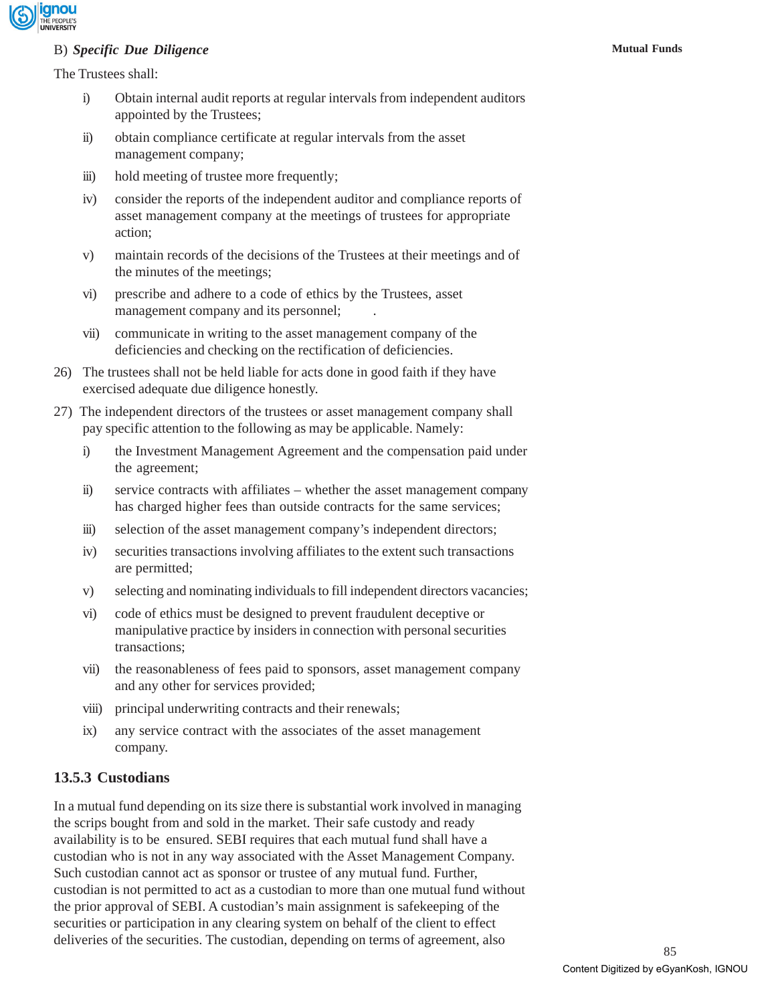

#### B) *Specific Due Diligence* **Mutual Funds Mutual Funds**

The Trustees shall:

- i) Obtain internal audit reports at regular intervals from independent auditors appointed by the Trustees;
- ii) obtain compliance certificate at regular intervals from the asset management company;
- iii) hold meeting of trustee more frequently;
- iv) consider the reports of the independent auditor and compliance reports of asset management company at the meetings of trustees for appropriate action;
- v) maintain records of the decisions of the Trustees at their meetings and of the minutes of the meetings;
- vi) prescribe and adhere to a code of ethics by the Trustees, asset management company and its personnel;
- vii) communicate in writing to the asset management company of the deficiencies and checking on the rectification of deficiencies.
- 26) The trustees shall not be held liable for acts done in good faith if they have exercised adequate due diligence honestly.
- 27) The independent directors of the trustees or asset management company shall pay specific attention to the following as may be applicable. Namely:
	- i) the Investment Management Agreement and the compensation paid under the agreement;
	- ii) service contracts with affiliates whether the asset management company has charged higher fees than outside contracts for the same services;
	- iii) selection of the asset management company's independent directors;
	- iv) securities transactions involving affiliates to the extent such transactions are permitted;
	- v) selecting and nominating individuals to fill independent directors vacancies;
	- vi) code of ethics must be designed to prevent fraudulent deceptive or manipulative practice by insiders in connection with personal securities transactions;
	- vii) the reasonableness of fees paid to sponsors, asset management company and any other for services provided;
	- viii) principal underwriting contracts and their renewals;
	- ix) any service contract with the associates of the asset management company.

### **13.5.3 Custodians**

In a mutual fund depending on its size there is substantial work involved in managing the scrips bought from and sold in the market. Their safe custody and ready availability is to be ensured. SEBI requires that each mutual fund shall have a custodian who is not in any way associated with the Asset Management Company. Such custodian cannot act as sponsor or trustee of any mutual fund. Further, custodian is not permitted to act as a custodian to more than one mutual fund without the prior approval of SEBI. A custodian's main assignment is safekeeping of the securities or participation in any clearing system on behalf of the client to effect deliveries of the securities. The custodian, depending on terms of agreement, also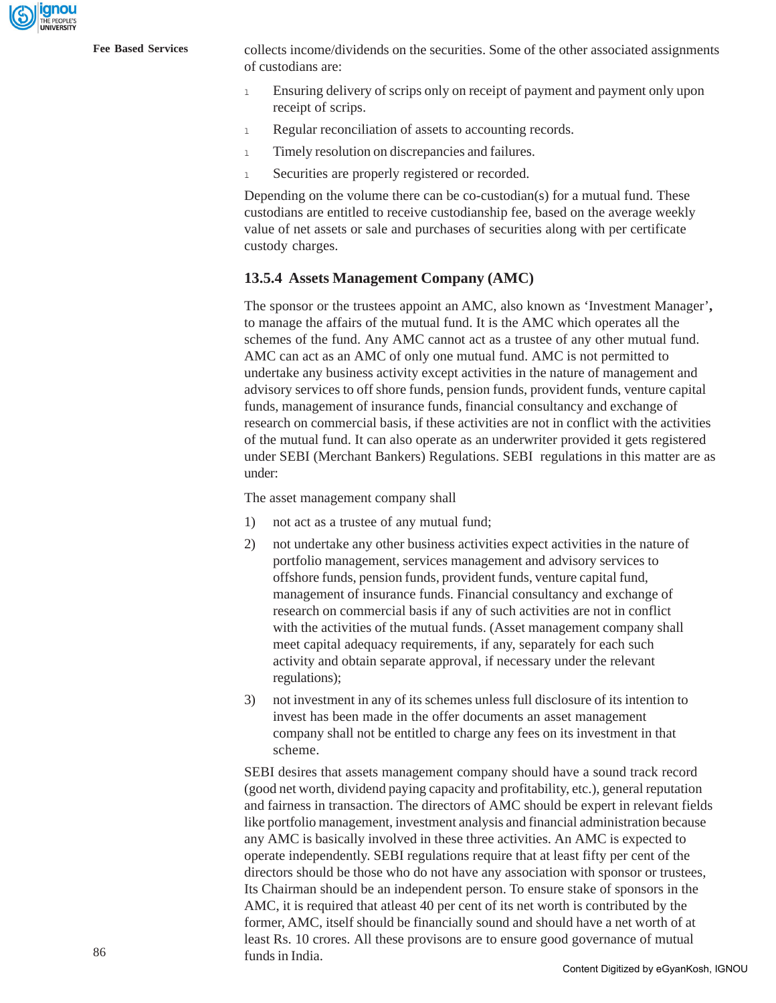

**Fee Based Services** collects income/dividends on the securities. Some of the other associated assignments of custodians are:

- 1 Ensuring delivery of scrips only on receipt of payment and payment only upon receipt of scrips.
- <sup>l</sup> Regular reconciliation of assets to accounting records.
- 1 Timely resolution on discrepancies and failures.
- 1 Securities are properly registered or recorded.

Depending on the volume there can be co-custodian(s) for a mutual fund. These custodians are entitled to receive custodianship fee, based on the average weekly value of net assets or sale and purchases of securities along with per certificate custody charges.

#### **13.5.4 Assets Management Company (AMC)**

The sponsor or the trustees appoint an AMC, also known as 'Investment Manager'**,** to manage the affairs of the mutual fund. It is the AMC which operates all the schemes of the fund. Any AMC cannot act as a trustee of any other mutual fund. AMC can act as an AMC of only one mutual fund. AMC is not permitted to undertake any business activity except activities in the nature of management and advisory services to off shore funds, pension funds, provident funds, venture capital funds, management of insurance funds, financial consultancy and exchange of research on commercial basis, if these activities are not in conflict with the activities of the mutual fund. It can also operate as an underwriter provided it gets registered under SEBI (Merchant Bankers) Regulations. SEBI regulations in this matter are as under:

The asset management company shall

- 1) not act as a trustee of any mutual fund;
- 2) not undertake any other business activities expect activities in the nature of portfolio management, services management and advisory services to offshore funds, pension funds, provident funds, venture capital fund, management of insurance funds. Financial consultancy and exchange of research on commercial basis if any of such activities are not in conflict with the activities of the mutual funds. (Asset management company shall meet capital adequacy requirements, if any, separately for each such activity and obtain separate approval, if necessary under the relevant regulations);
- 3) not investment in any of its schemes unless full disclosure of its intention to invest has been made in the offer documents an asset management company shall not be entitled to charge any fees on its investment in that scheme.

SEBI desires that assets management company should have a sound track record (good net worth, dividend paying capacity and profitability, etc.), general reputation and fairness in transaction. The directors of AMC should be expert in relevant fields like portfolio management, investment analysis and financial administration because any AMC is basically involved in these three activities. An AMC is expected to operate independently. SEBI regulations require that at least fifty per cent of the directors should be those who do not have any association with sponsor or trustees, Its Chairman should be an independent person. To ensure stake of sponsors in the AMC, it is required that atleast 40 per cent of its net worth is contributed by the former, AMC, itself should be financially sound and should have a net worth of at least Rs. 10 crores. All these provisons are to ensure good governance of mutual funds in India.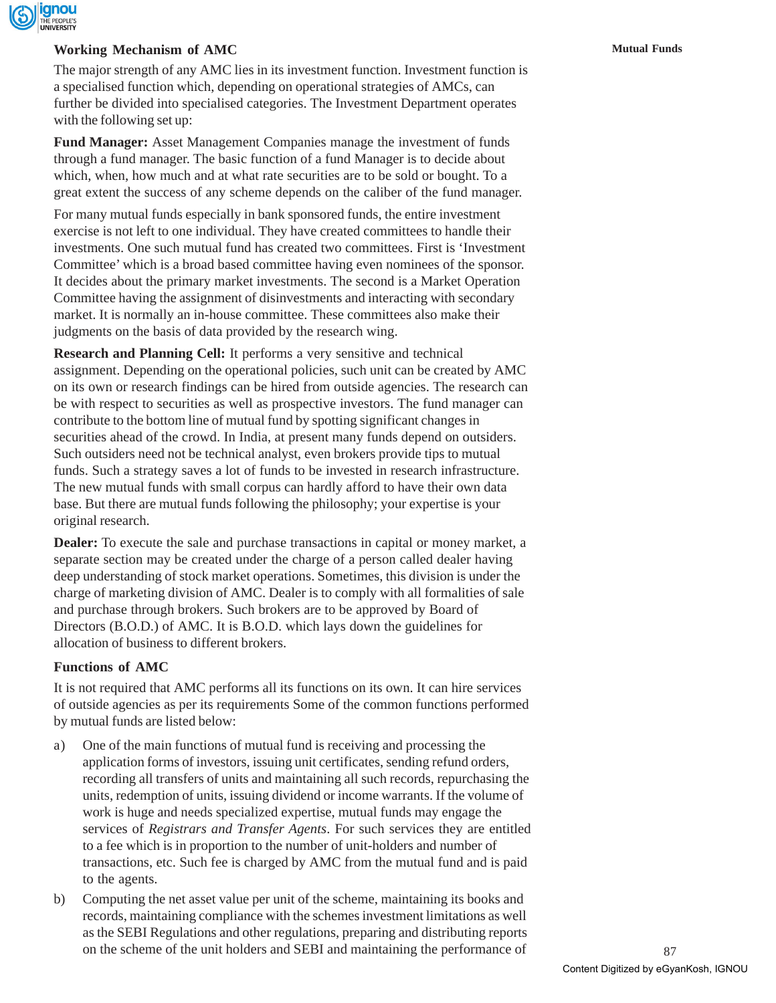

#### **Working Mechanism of AMC Mutual Funds Mutual Funds Mutual Funds**

The major strength of any AMC lies in its investment function. Investment function is a specialised function which, depending on operational strategies of AMCs, can further be divided into specialised categories. The Investment Department operates with the following set up:

**Fund Manager:** Asset Management Companies manage the investment of funds through a fund manager. The basic function of a fund Manager is to decide about which, when, how much and at what rate securities are to be sold or bought. To a great extent the success of any scheme depends on the caliber of the fund manager.

For many mutual funds especially in bank sponsored funds, the entire investment exercise is not left to one individual. They have created committees to handle their investments. One such mutual fund has created two committees. First is 'Investment Committee' which is a broad based committee having even nominees of the sponsor. It decides about the primary market investments. The second is a Market Operation Committee having the assignment of disinvestments and interacting with secondary market. It is normally an in-house committee. These committees also make their judgments on the basis of data provided by the research wing.

**Research and Planning Cell:** It performs a very sensitive and technical assignment. Depending on the operational policies, such unit can be created by AMC on its own or research findings can be hired from outside agencies. The research can be with respect to securities as well as prospective investors. The fund manager can contribute to the bottom line of mutual fund by spotting significant changes in securities ahead of the crowd. In India, at present many funds depend on outsiders. Such outsiders need not be technical analyst, even brokers provide tips to mutual funds. Such a strategy saves a lot of funds to be invested in research infrastructure. The new mutual funds with small corpus can hardly afford to have their own data base. But there are mutual funds following the philosophy; your expertise is your original research.

**Dealer:** To execute the sale and purchase transactions in capital or money market, a separate section may be created under the charge of a person called dealer having deep understanding of stock market operations. Sometimes, this division is under the charge of marketing division of AMC. Dealer is to comply with all formalities of sale and purchase through brokers. Such brokers are to be approved by Board of Directors (B.O.D.) of AMC. It is B.O.D. which lays down the guidelines for allocation of business to different brokers.

#### **Functions of AMC**

It is not required that AMC performs all its functions on its own. It can hire services of outside agencies as per its requirements Some of the common functions performed by mutual funds are listed below:

- a) One of the main functions of mutual fund is receiving and processing the application forms of investors, issuing unit certificates, sending refund orders, recording all transfers of units and maintaining all such records, repurchasing the units, redemption of units, issuing dividend or income warrants. If the volume of work is huge and needs specialized expertise, mutual funds may engage the services of *Registrars and Transfer Agents*. For such services they are entitled to a fee which is in proportion to the number of unit-holders and number of transactions, etc. Such fee is charged by AMC from the mutual fund and is paid to the agents.
- b) Computing the net asset value per unit of the scheme, maintaining its books and records, maintaining compliance with the schemes investment limitations as well as the SEBI Regulations and other regulations, preparing and distributing reports on the scheme of the unit holders and SEBI and maintaining the performance of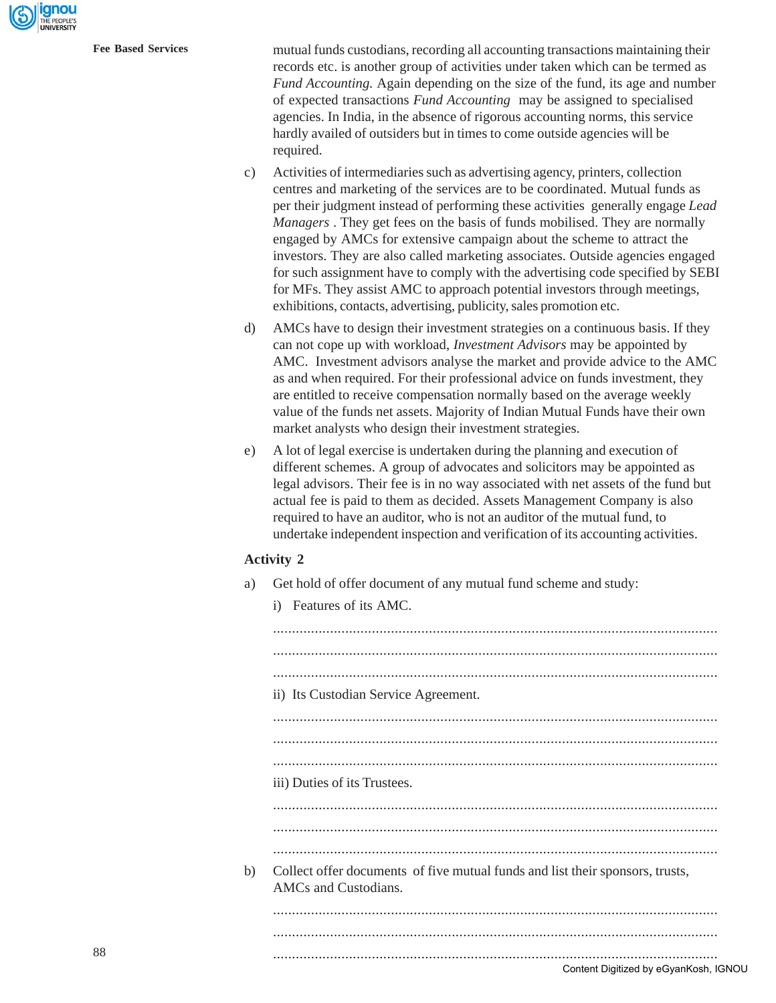gnou

**Fee Based Services** mutual funds custodians, recording all accounting transactions maintaining their records etc. is another group of activities under taken which can be termed as *Fund Accounting.* Again depending on the size of the fund, its age and number of expected transactions *Fund Accounting* may be assigned to specialised agencies. In India, in the absence of rigorous accounting norms, this service hardly availed of outsiders but in times to come outside agencies will be required.

- c) Activities of intermediaries such as advertising agency, printers, collection centres and marketing of the services are to be coordinated. Mutual funds as per their judgment instead of performing these activities generally engage *Lead Managers* . They get fees on the basis of funds mobilised. They are normally engaged by AMCs for extensive campaign about the scheme to attract the investors. They are also called marketing associates. Outside agencies engaged for such assignment have to comply with the advertising code specified by SEBI for MFs. They assist AMC to approach potential investors through meetings, exhibitions, contacts, advertising, publicity, sales promotion etc.
- d) AMCs have to design their investment strategies on a continuous basis. If they can not cope up with workload, *Investment Advisors* may be appointed by AMC. Investment advisors analyse the market and provide advice to the AMC as and when required. For their professional advice on funds investment, they are entitled to receive compensation normally based on the average weekly value of the funds net assets. Majority of Indian Mutual Funds have their own market analysts who design their investment strategies.
- e) A lot of legal exercise is undertaken during the planning and execution of different schemes. A group of advocates and solicitors may be appointed as legal advisors. Their fee is in no way associated with net assets of the fund but actual fee is paid to them as decided. Assets Management Company is also required to have an auditor, who is not an auditor of the mutual fund, to undertake independent inspection and verification of its accounting activities.

#### **Activity 2**

- a) Get hold of offer document of any mutual fund scheme and study:
	- i) Features of its AMC.

|    | ii) Its Custodian Service Agreement.                                          |
|----|-------------------------------------------------------------------------------|
|    |                                                                               |
|    |                                                                               |
|    |                                                                               |
|    | iii) Duties of its Trustees.                                                  |
|    |                                                                               |
|    |                                                                               |
|    |                                                                               |
| b) | Collect offer documents of five mutual funds and list their sponsors, trusts, |
|    | AMCs and Custodians.                                                          |
|    |                                                                               |
|    |                                                                               |
|    |                                                                               |
|    |                                                                               |

Content Digitized by eGyanKosh, IGNOU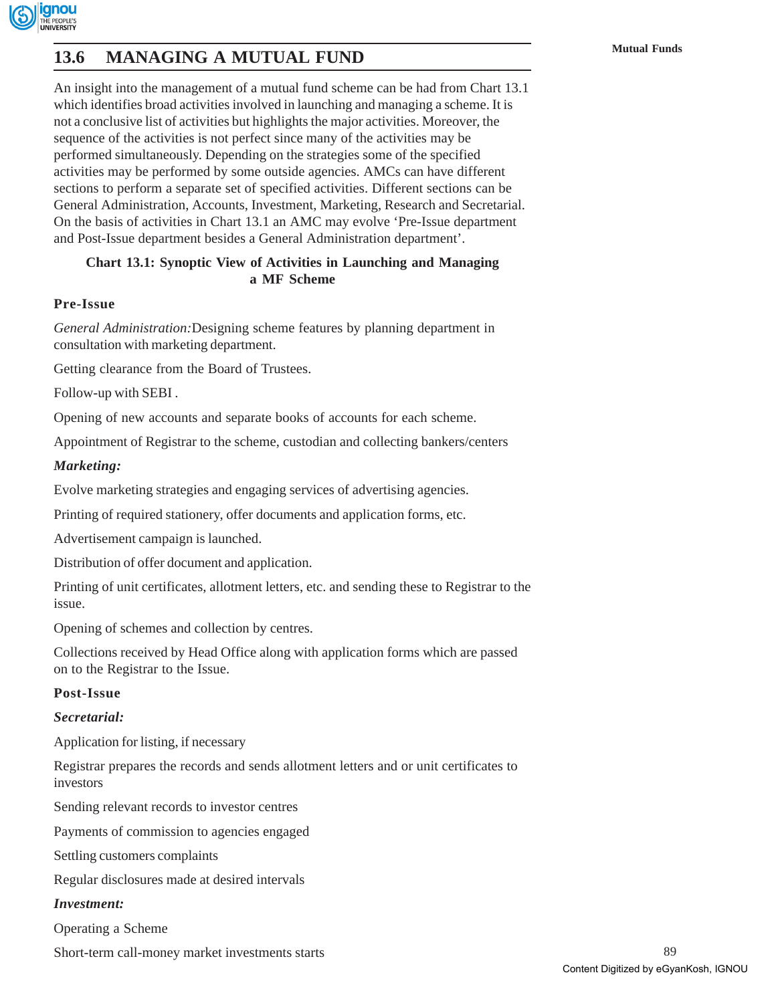

# **13.6 MANAGING A MUTUAL FUND** Mutual Funds

An insight into the management of a mutual fund scheme can be had from Chart 13.1 which identifies broad activities involved in launching and managing a scheme. It is not a conclusive list of activities but highlights the major activities. Moreover, the sequence of the activities is not perfect since many of the activities may be performed simultaneously. Depending on the strategies some of the specified activities may be performed by some outside agencies. AMCs can have different sections to perform a separate set of specified activities. Different sections can be General Administration, Accounts, Investment, Marketing, Research and Secretarial. On the basis of activities in Chart 13.1 an AMC may evolve 'Pre-Issue department and Post-Issue department besides a General Administration department'.

#### **Chart 13.1: Synoptic View of Activities in Launching and Managing a MF Scheme**

#### **Pre-Issue**

*General Administration:*Designing scheme features by planning department in consultation with marketing department.

Getting clearance from the Board of Trustees.

Follow-up with SEBI .

Opening of new accounts and separate books of accounts for each scheme.

Appointment of Registrar to the scheme, custodian and collecting bankers/centers

#### *Marketing:*

Evolve marketing strategies and engaging services of advertising agencies.

Printing of required stationery, offer documents and application forms, etc.

Advertisement campaign is launched.

Distribution of offer document and application.

Printing of unit certificates, allotment letters, etc. and sending these to Registrar to the issue.

Opening of schemes and collection by centres.

Collections received by Head Office along with application forms which are passed on to the Registrar to the Issue.

#### **Post-Issue**

#### *Secretarial:*

Application for listing, if necessary

Registrar prepares the records and sends allotment letters and or unit certificates to investors

Sending relevant records to investor centres

Payments of commission to agencies engaged

Settling customers complaints

Regular disclosures made at desired intervals

#### *Investment:*

Operating a Scheme

Short-term call-money market investments starts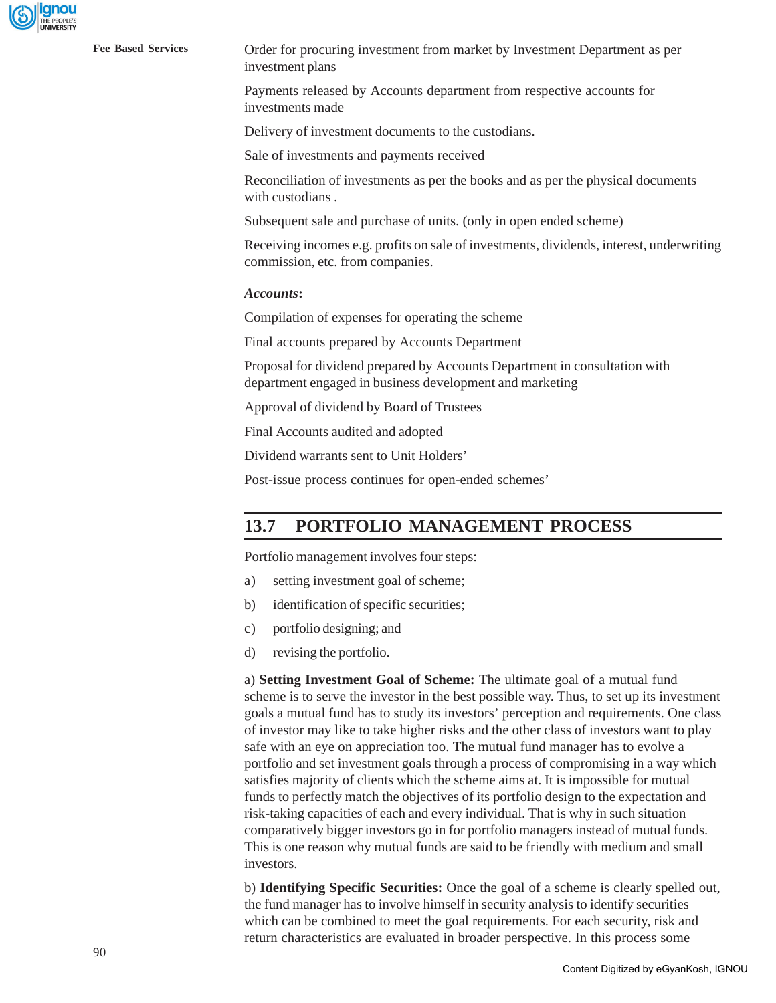

**Fee Based Services** Order for procuring investment from market by Investment Department as per investment plans

> Payments released by Accounts department from respective accounts for investments made

Delivery of investment documents to the custodians.

Sale of investments and payments received

Reconciliation of investments as per the books and as per the physical documents with custodians .

Subsequent sale and purchase of units. (only in open ended scheme)

Receiving incomes e.g. profits on sale of investments, dividends, interest, underwriting commission, etc. from companies.

#### *Accounts***:**

Compilation of expenses for operating the scheme

Final accounts prepared by Accounts Department

Proposal for dividend prepared by Accounts Department in consultation with department engaged in business development and marketing

Approval of dividend by Board of Trustees

Final Accounts audited and adopted

Dividend warrants sent to Unit Holders'

Post-issue process continues for open-ended schemes'

## **13.7 PORTFOLIO MANAGEMENT PROCESS**

Portfolio management involves four steps:

- a) setting investment goal of scheme;
- b) identification of specific securities;
- c) portfolio designing; and
- d) revising the portfolio.

a) **Setting Investment Goal of Scheme:** The ultimate goal of a mutual fund scheme is to serve the investor in the best possible way. Thus, to set up its investment goals a mutual fund has to study its investors' perception and requirements. One class of investor may like to take higher risks and the other class of investors want to play safe with an eye on appreciation too. The mutual fund manager has to evolve a portfolio and set investment goals through a process of compromising in a way which satisfies majority of clients which the scheme aims at. It is impossible for mutual funds to perfectly match the objectives of its portfolio design to the expectation and risk-taking capacities of each and every individual. That is why in such situation comparatively bigger investors go in for portfolio managers instead of mutual funds. This is one reason why mutual funds are said to be friendly with medium and small investors.

b) **Identifying Specific Securities:** Once the goal of a scheme is clearly spelled out, the fund manager has to involve himself in security analysis to identify securities which can be combined to meet the goal requirements. For each security, risk and return characteristics are evaluated in broader perspective. In this process some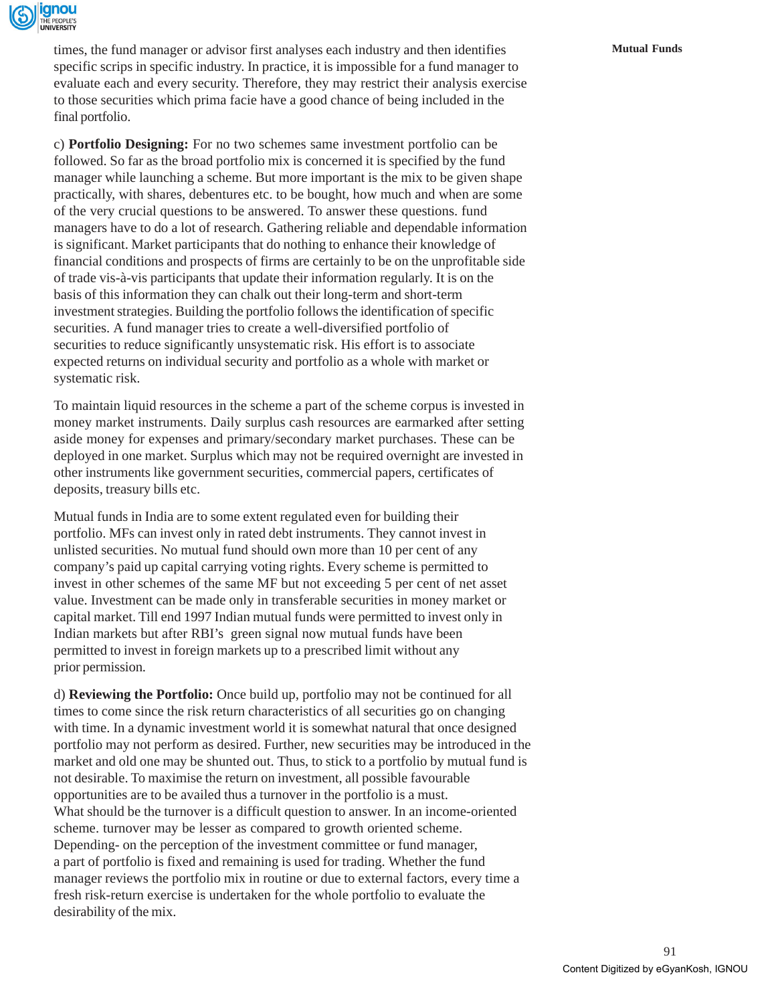

times, the fund manager or advisor first analyses each industry and then identifies **Mutual Funds** specific scrips in specific industry. In practice, it is impossible for a fund manager to evaluate each and every security. Therefore, they may restrict their analysis exercise to those securities which prima facie have a good chance of being included in the final portfolio.

c) **Portfolio Designing:** For no two schemes same investment portfolio can be followed. So far as the broad portfolio mix is concerned it is specified by the fund manager while launching a scheme. But more important is the mix to be given shape practically, with shares, debentures etc. to be bought, how much and when are some of the very crucial questions to be answered. To answer these questions. fund managers have to do a lot of research. Gathering reliable and dependable information is significant. Market participants that do nothing to enhance their knowledge of financial conditions and prospects of firms are certainly to be on the unprofitable side of trade vis-à-vis participants that update their information regularly. It is on the basis of this information they can chalk out their long-term and short-term investment strategies. Building the portfolio follows the identification of specific securities. A fund manager tries to create a well-diversified portfolio of securities to reduce significantly unsystematic risk. His effort is to associate expected returns on individual security and portfolio as a whole with market or systematic risk.

To maintain liquid resources in the scheme a part of the scheme corpus is invested in money market instruments. Daily surplus cash resources are earmarked after setting aside money for expenses and primary/secondary market purchases. These can be deployed in one market. Surplus which may not be required overnight are invested in other instruments like government securities, commercial papers, certificates of deposits, treasury bills etc.

Mutual funds in India are to some extent regulated even for building their portfolio. MFs can invest only in rated debt instruments. They cannot invest in unlisted securities. No mutual fund should own more than 10 per cent of any company's paid up capital carrying voting rights. Every scheme is permitted to invest in other schemes of the same MF but not exceeding 5 per cent of net asset value. Investment can be made only in transferable securities in money market or capital market. Till end 1997 Indian mutual funds were permitted to invest only in Indian markets but after RBI's green signal now mutual funds have been permitted to invest in foreign markets up to a prescribed limit without any prior permission.

d) **Reviewing the Portfolio:** Once build up, portfolio may not be continued for all times to come since the risk return characteristics of all securities go on changing with time. In a dynamic investment world it is somewhat natural that once designed portfolio may not perform as desired. Further, new securities may be introduced in the market and old one may be shunted out. Thus, to stick to a portfolio by mutual fund is not desirable. To maximise the return on investment, all possible favourable opportunities are to be availed thus a turnover in the portfolio is a must. What should be the turnover is a difficult question to answer. In an income-oriented scheme. turnover may be lesser as compared to growth oriented scheme. Depending- on the perception of the investment committee or fund manager, a part of portfolio is fixed and remaining is used for trading. Whether the fund manager reviews the portfolio mix in routine or due to external factors, every time a fresh risk-return exercise is undertaken for the whole portfolio to evaluate the desirability of the mix.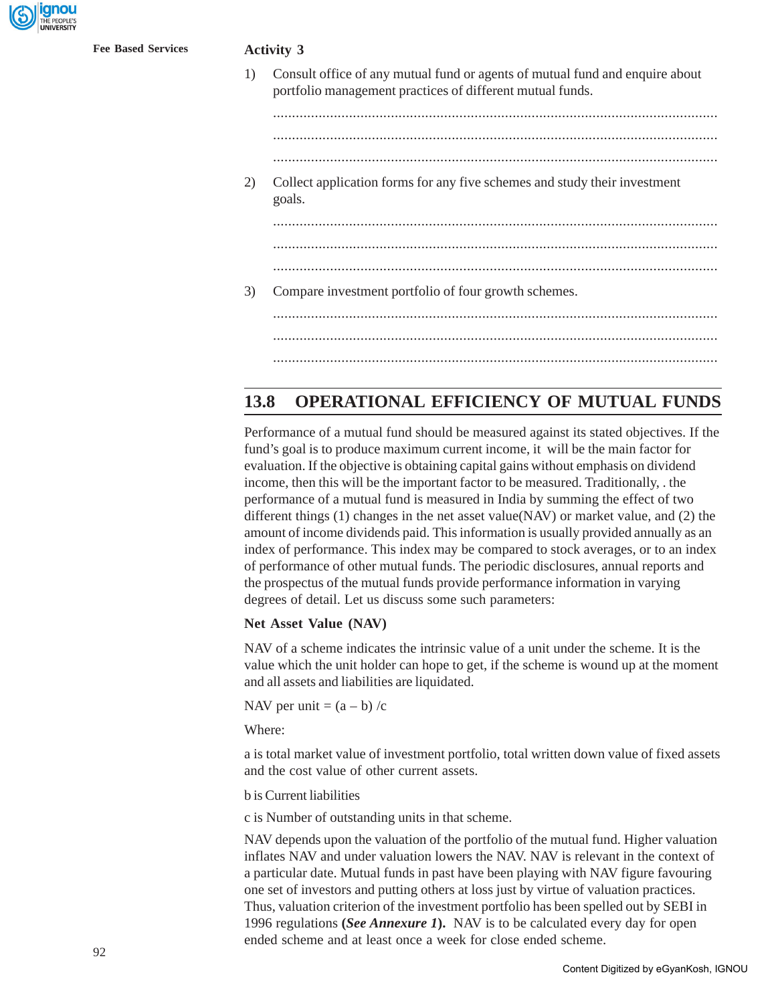

1) Consult office of any mutual fund or agents of mutual fund and enquire about portfolio management practices of different mutual funds.

..................................................................................................................... .....................................................................................................................

2) Collect application forms for any five schemes and study their investment goals.

..................................................................................................................... .....................................................................................................................

.....................................................................................................................

3) Compare investment portfolio of four growth schemes.

..................................................................................................................... ..................................................................................................................... .....................................................................................................................

# **13.8 OPERATIONAL EFFICIENCY OF MUTUAL FUNDS**

Performance of a mutual fund should be measured against its stated objectives. If the fund's goal is to produce maximum current income, it will be the main factor for evaluation. If the objective is obtaining capital gains without emphasis on dividend income, then this will be the important factor to be measured. Traditionally, . the performance of a mutual fund is measured in India by summing the effect of two different things (1) changes in the net asset value(NAV) or market value, and (2) the amount of income dividends paid. This information is usually provided annually as an index of performance. This index may be compared to stock averages, or to an index of performance of other mutual funds. The periodic disclosures, annual reports and the prospectus of the mutual funds provide performance information in varying degrees of detail. Let us discuss some such parameters:

#### **Net Asset Value (NAV)**

NAV of a scheme indicates the intrinsic value of a unit under the scheme. It is the value which the unit holder can hope to get, if the scheme is wound up at the moment and all assets and liabilities are liquidated.

NAV per unit  $= (a - b) /c$ 

Where:

a is total market value of investment portfolio, total written down value of fixed assets and the cost value of other current assets.

b is Current liabilities

c is Number of outstanding units in that scheme.

NAV depends upon the valuation of the portfolio of the mutual fund. Higher valuation inflates NAV and under valuation lowers the NAV. NAV is relevant in the context of a particular date. Mutual funds in past have been playing with NAV figure favouring one set of investors and putting others at loss just by virtue of valuation practices. Thus, valuation criterion of the investment portfolio has been spelled out by SEBI in 1996 regulations **(***See Annexure 1***).** NAV is to be calculated every day for open ended scheme and at least once a week for close ended scheme.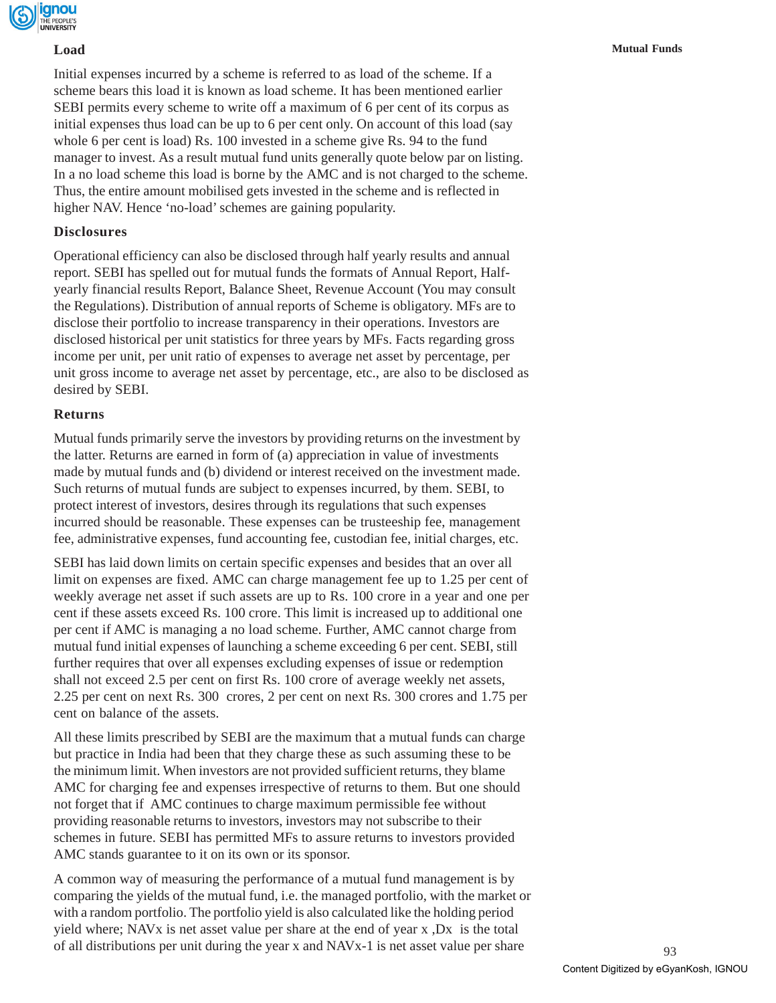

Initial expenses incurred by a scheme is referred to as load of the scheme. If a scheme bears this load it is known as load scheme. It has been mentioned earlier SEBI permits every scheme to write off a maximum of 6 per cent of its corpus as initial expenses thus load can be up to 6 per cent only. On account of this load (say whole 6 per cent is load) Rs. 100 invested in a scheme give Rs. 94 to the fund manager to invest. As a result mutual fund units generally quote below par on listing. In a no load scheme this load is borne by the AMC and is not charged to the scheme. Thus, the entire amount mobilised gets invested in the scheme and is reflected in higher NAV. Hence 'no-load' schemes are gaining popularity.

#### **Disclosures**

Operational efficiency can also be disclosed through half yearly results and annual report. SEBI has spelled out for mutual funds the formats of Annual Report, Halfyearly financial results Report, Balance Sheet, Revenue Account (You may consult the Regulations). Distribution of annual reports of Scheme is obligatory. MFs are to disclose their portfolio to increase transparency in their operations. Investors are disclosed historical per unit statistics for three years by MFs. Facts regarding gross income per unit, per unit ratio of expenses to average net asset by percentage, per unit gross income to average net asset by percentage, etc., are also to be disclosed as desired by SEBI.

#### **Returns**

Mutual funds primarily serve the investors by providing returns on the investment by the latter. Returns are earned in form of (a) appreciation in value of investments made by mutual funds and (b) dividend or interest received on the investment made. Such returns of mutual funds are subject to expenses incurred, by them. SEBI, to protect interest of investors, desires through its regulations that such expenses incurred should be reasonable. These expenses can be trusteeship fee, management fee, administrative expenses, fund accounting fee, custodian fee, initial charges, etc.

SEBI has laid down limits on certain specific expenses and besides that an over all limit on expenses are fixed. AMC can charge management fee up to 1.25 per cent of weekly average net asset if such assets are up to Rs. 100 crore in a year and one per cent if these assets exceed Rs. 100 crore. This limit is increased up to additional one per cent if AMC is managing a no load scheme. Further, AMC cannot charge from mutual fund initial expenses of launching a scheme exceeding 6 per cent. SEBI, still further requires that over all expenses excluding expenses of issue or redemption shall not exceed 2.5 per cent on first Rs. 100 crore of average weekly net assets, 2.25 per cent on next Rs. 300 crores, 2 per cent on next Rs. 300 crores and 1.75 per cent on balance of the assets.

All these limits prescribed by SEBI are the maximum that a mutual funds can charge but practice in India had been that they charge these as such assuming these to be the minimum limit. When investors are not provided sufficient returns, they blame AMC for charging fee and expenses irrespective of returns to them. But one should not forget that if AMC continues to charge maximum permissible fee without providing reasonable returns to investors, investors may not subscribe to their schemes in future. SEBI has permitted MFs to assure returns to investors provided AMC stands guarantee to it on its own or its sponsor.

A common way of measuring the performance of a mutual fund management is by comparing the yields of the mutual fund, i.e. the managed portfolio, with the market or with a random portfolio. The portfolio yield is also calculated like the holding period yield where; NAVx is net asset value per share at the end of year x ,Dx is the total of all distributions per unit during the year x and NAVx-1 is net asset value per share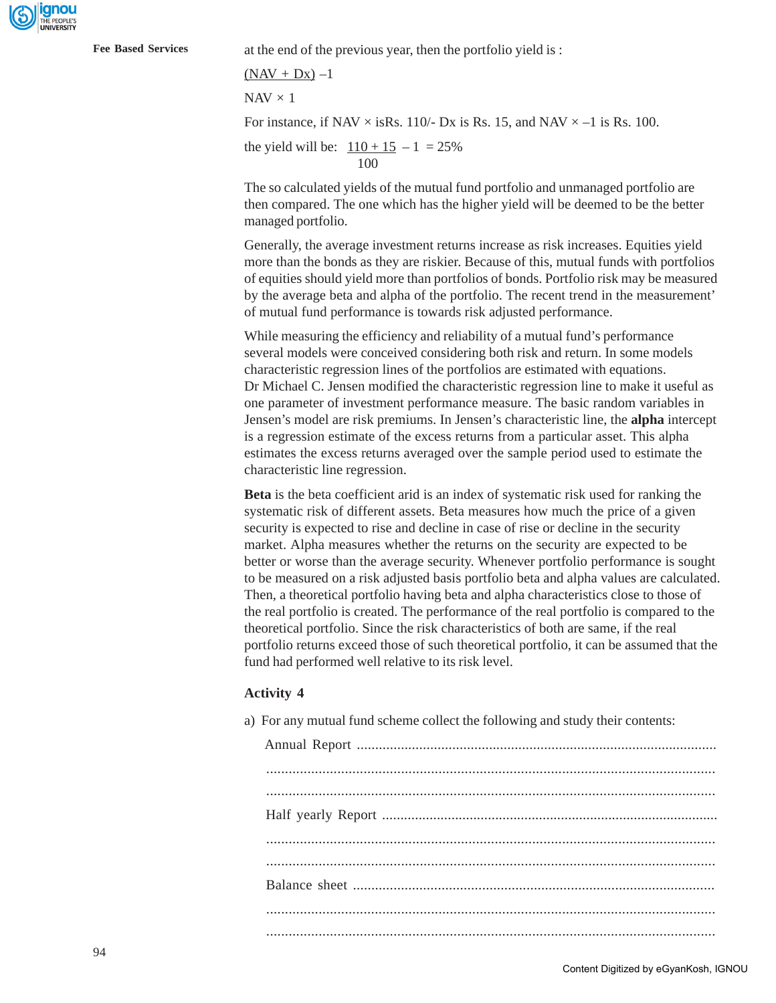

**Fee Based Services** at the end of the previous year, then the portfolio yield is :

 $(NAV + Dx) -1$ 

$$
NAV \times 1
$$

For instance, if NAV  $\times$  isRs. 110/- Dx is Rs. 15, and NAV  $\times$  -1 is Rs. 100.

the yield will be:  $110 + 15 - 1 = 25\%$ 100

The so calculated yields of the mutual fund portfolio and unmanaged portfolio are then compared. The one which has the higher yield will be deemed to be the better managed portfolio.

Generally, the average investment returns increase as risk increases. Equities yield more than the bonds as they are riskier. Because of this, mutual funds with portfolios of equities should yield more than portfolios of bonds. Portfolio risk may be measured by the average beta and alpha of the portfolio. The recent trend in the measurement' of mutual fund performance is towards risk adjusted performance.

While measuring the efficiency and reliability of a mutual fund's performance several models were conceived considering both risk and return. In some models characteristic regression lines of the portfolios are estimated with equations. Dr Michael C. Jensen modified the characteristic regression line to make it useful as one parameter of investment performance measure. The basic random variables in Jensen's model are risk premiums. In Jensen's characteristic line, the **alpha** intercept is a regression estimate of the excess returns from a particular asset. This alpha estimates the excess returns averaged over the sample period used to estimate the characteristic line regression.

**Beta** is the beta coefficient arid is an index of systematic risk used for ranking the systematic risk of different assets. Beta measures how much the price of a given security is expected to rise and decline in case of rise or decline in the security market. Alpha measures whether the returns on the security are expected to be better or worse than the average security. Whenever portfolio performance is sought to be measured on a risk adjusted basis portfolio beta and alpha values are calculated. Then, a theoretical portfolio having beta and alpha characteristics close to those of the real portfolio is created. The performance of the real portfolio is compared to the theoretical portfolio. Since the risk characteristics of both are same, if the real portfolio returns exceed those of such theoretical portfolio, it can be assumed that the fund had performed well relative to its risk level.

#### **Activity 4**

a) For any mutual fund scheme collect the following and study their contents: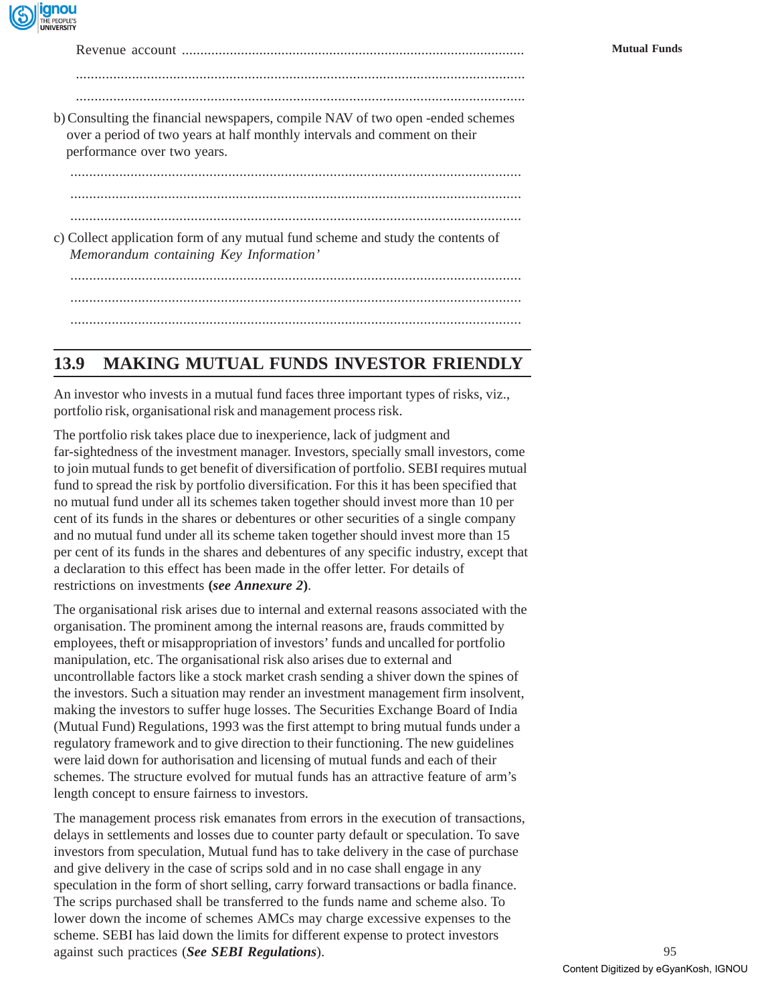

|                                                                                                                                                                                            | <b>Mutual Funds</b> |
|--------------------------------------------------------------------------------------------------------------------------------------------------------------------------------------------|---------------------|
| b) Consulting the financial newspapers, compile NAV of two open -ended schemes<br>over a period of two years at half monthly intervals and comment on their<br>performance over two years. |                     |
|                                                                                                                                                                                            |                     |
| c) Collect application form of any mutual fund scheme and study the contents of<br>Memorandum containing Key Information'                                                                  |                     |
|                                                                                                                                                                                            |                     |
|                                                                                                                                                                                            |                     |

# **13.9 MAKING MUTUAL FUNDS INVESTOR FRIENDLY**

An investor who invests in a mutual fund faces three important types of risks, viz., portfolio risk, organisational risk and management process risk.

The portfolio risk takes place due to inexperience, lack of judgment and far-sightedness of the investment manager. Investors, specially small investors, come to join mutual funds to get benefit of diversification of portfolio. SEBI requires mutual fund to spread the risk by portfolio diversification. For this it has been specified that no mutual fund under all its schemes taken together should invest more than 10 per cent of its funds in the shares or debentures or other securities of a single company and no mutual fund under all its scheme taken together should invest more than 15 per cent of its funds in the shares and debentures of any specific industry, except that a declaration to this effect has been made in the offer letter. For details of restrictions on investments **(***see Annexure 2***)**.

The organisational risk arises due to internal and external reasons associated with the organisation. The prominent among the internal reasons are, frauds committed by employees, theft or misappropriation of investors' funds and uncalled for portfolio manipulation, etc. The organisational risk also arises due to external and uncontrollable factors like a stock market crash sending a shiver down the spines of the investors. Such a situation may render an investment management firm insolvent, making the investors to suffer huge losses. The Securities Exchange Board of India (Mutual Fund) Regulations, 1993 was the first attempt to bring mutual funds under a regulatory framework and to give direction to their functioning. The new guidelines were laid down for authorisation and licensing of mutual funds and each of their schemes. The structure evolved for mutual funds has an attractive feature of arm's length concept to ensure fairness to investors.

The management process risk emanates from errors in the execution of transactions, delays in settlements and losses due to counter party default or speculation. To save investors from speculation, Mutual fund has to take delivery in the case of purchase and give delivery in the case of scrips sold and in no case shall engage in any speculation in the form of short selling, carry forward transactions or badla finance. The scrips purchased shall be transferred to the funds name and scheme also. To lower down the income of schemes AMCs may charge excessive expenses to the scheme. SEBI has laid down the limits for different expense to protect investors against such practices (*See SEBI Regulations*).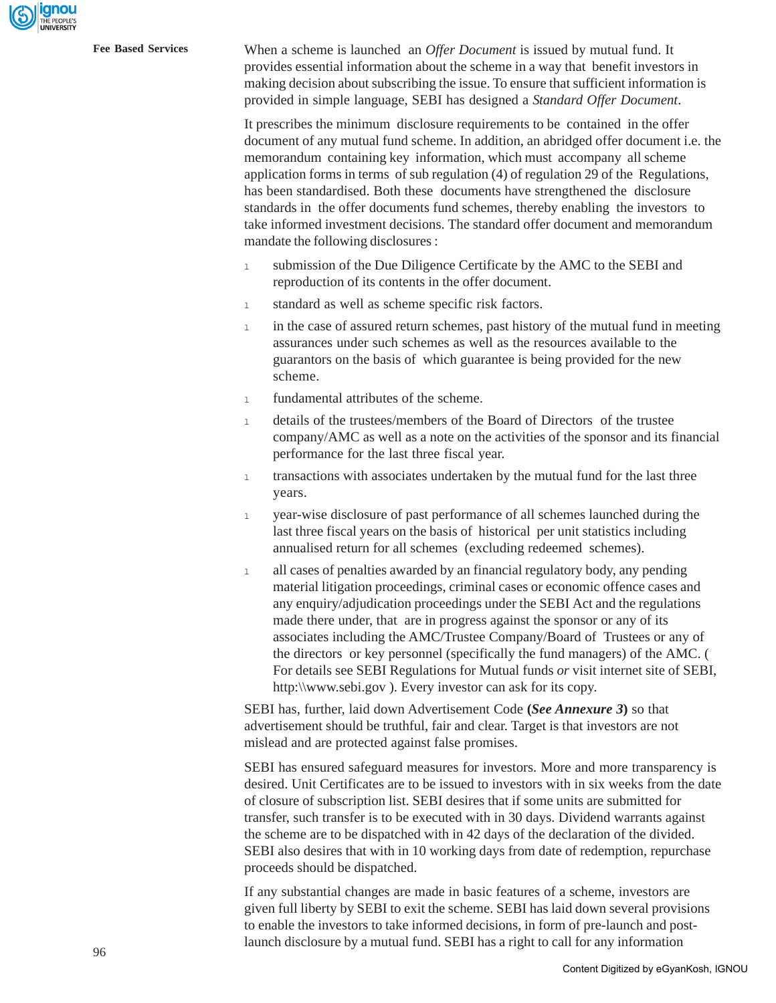**Fee Based Services** When a scheme is launched an *Offer Document* is issued by mutual fund. It provides essential information about the scheme in a way that benefit investors in making decision about subscribing the issue. To ensure that sufficient information is provided in simple language, SEBI has designed a *Standard Offer Document*.

> It prescribes the minimum disclosure requirements to be contained in the offer document of any mutual fund scheme. In addition, an abridged offer document i.e. the memorandum containing key information, which must accompany all scheme application forms in terms of sub regulation (4) of regulation 29 of the Regulations, has been standardised. Both these documents have strengthened the disclosure standards in the offer documents fund schemes, thereby enabling the investors to take informed investment decisions. The standard offer document and memorandum mandate the following disclosures :

- 1 submission of the Due Diligence Certificate by the AMC to the SEBI and reproduction of its contents in the offer document.
- 1 standard as well as scheme specific risk factors.
- <sup>l</sup> in the case of assured return schemes, past history of the mutual fund in meeting assurances under such schemes as well as the resources available to the guarantors on the basis of which guarantee is being provided for the new scheme.
- 1 fundamental attributes of the scheme.
- <sup>l</sup> details of the trustees/members of the Board of Directors of the trustee company/AMC as well as a note on the activities of the sponsor and its financial performance for the last three fiscal year.
- <sup>l</sup> transactions with associates undertaken by the mutual fund for the last three years.
- <sup>l</sup> year-wise disclosure of past performance of all schemes launched during the last three fiscal years on the basis of historical per unit statistics including annualised return for all schemes (excluding redeemed schemes).
- <sup>l</sup> all cases of penalties awarded by an financial regulatory body, any pending material litigation proceedings, criminal cases or economic offence cases and any enquiry/adjudication proceedings under the SEBI Act and the regulations made there under, that are in progress against the sponsor or any of its associates including the AMC/Trustee Company/Board of Trustees or any of the directors or key personnel (specifically the fund managers) of the AMC. ( For details see SEBI Regulations for Mutual funds *or* visit internet site of SEBI, http:\\www.sebi.gov). Every investor can ask for its copy.

SEBI has, further, laid down Advertisement Code **(***See Annexure 3***)** so that advertisement should be truthful, fair and clear. Target is that investors are not mislead and are protected against false promises.

SEBI has ensured safeguard measures for investors. More and more transparency is desired. Unit Certificates are to be issued to investors with in six weeks from the date of closure of subscription list. SEBI desires that if some units are submitted for transfer, such transfer is to be executed with in 30 days. Dividend warrants against the scheme are to be dispatched with in 42 days of the declaration of the divided. SEBI also desires that with in 10 working days from date of redemption, repurchase proceeds should be dispatched.

If any substantial changes are made in basic features of a scheme, investors are given full liberty by SEBI to exit the scheme. SEBI has laid down several provisions to enable the investors to take informed decisions, in form of pre-launch and postlaunch disclosure by a mutual fund. SEBI has a right to call for any information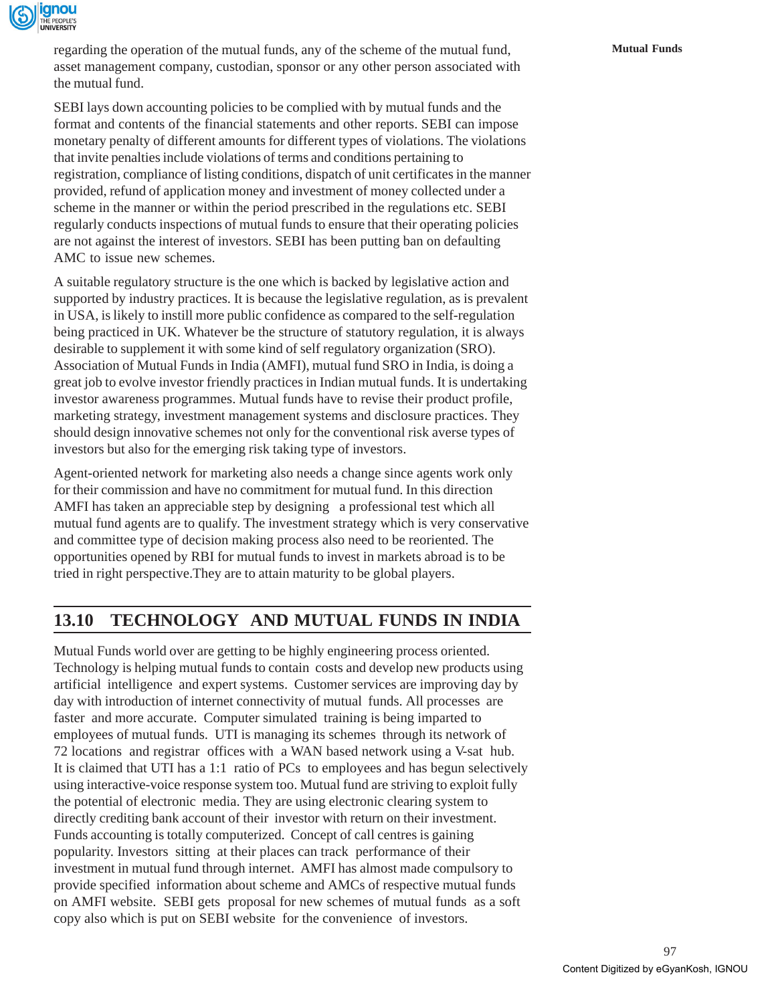

regarding the operation of the mutual funds, any of the scheme of the mutual fund, **Mutual Funds** asset management company, custodian, sponsor or any other person associated with the mutual fund.

SEBI lays down accounting policies to be complied with by mutual funds and the format and contents of the financial statements and other reports. SEBI can impose monetary penalty of different amounts for different types of violations. The violations that invite penalties include violations of terms and conditions pertaining to registration, compliance of listing conditions, dispatch of unit certificates in the manner provided, refund of application money and investment of money collected under a scheme in the manner or within the period prescribed in the regulations etc. SEBI regularly conducts inspections of mutual funds to ensure that their operating policies are not against the interest of investors. SEBI has been putting ban on defaulting AMC to issue new schemes.

A suitable regulatory structure is the one which is backed by legislative action and supported by industry practices. It is because the legislative regulation, as is prevalent in USA, is likely to instill more public confidence as compared to the self-regulation being practiced in UK. Whatever be the structure of statutory regulation, it is always desirable to supplement it with some kind of self regulatory organization (SRO). Association of Mutual Funds in India (AMFI), mutual fund SRO in India, is doing a great job to evolve investor friendly practices in Indian mutual funds. It is undertaking investor awareness programmes. Mutual funds have to revise their product profile, marketing strategy, investment management systems and disclosure practices. They should design innovative schemes not only for the conventional risk averse types of investors but also for the emerging risk taking type of investors.

Agent-oriented network for marketing also needs a change since agents work only for their commission and have no commitment for mutual fund. In this direction AMFI has taken an appreciable step by designing a professional test which all mutual fund agents are to qualify. The investment strategy which is very conservative and committee type of decision making process also need to be reoriented. The opportunities opened by RBI for mutual funds to invest in markets abroad is to be tried in right perspective.They are to attain maturity to be global players.

# **13.10 TECHNOLOGY AND MUTUAL FUNDS IN INDIA**

Mutual Funds world over are getting to be highly engineering process oriented. Technology is helping mutual funds to contain costs and develop new products using artificial intelligence and expert systems. Customer services are improving day by day with introduction of internet connectivity of mutual funds. All processes are faster and more accurate. Computer simulated training is being imparted to employees of mutual funds. UTI is managing its schemes through its network of 72 locations and registrar offices with a WAN based network using a V-sat hub. It is claimed that UTI has a 1:1 ratio of PCs to employees and has begun selectively using interactive-voice response system too. Mutual fund are striving to exploit fully the potential of electronic media. They are using electronic clearing system to directly crediting bank account of their investor with return on their investment. Funds accounting is totally computerized. Concept of call centres is gaining popularity. Investors sitting at their places can track performance of their investment in mutual fund through internet. AMFI has almost made compulsory to provide specified information about scheme and AMCs of respective mutual funds on AMFI website. SEBI gets proposal for new schemes of mutual funds as a soft copy also which is put on SEBI website for the convenience of investors.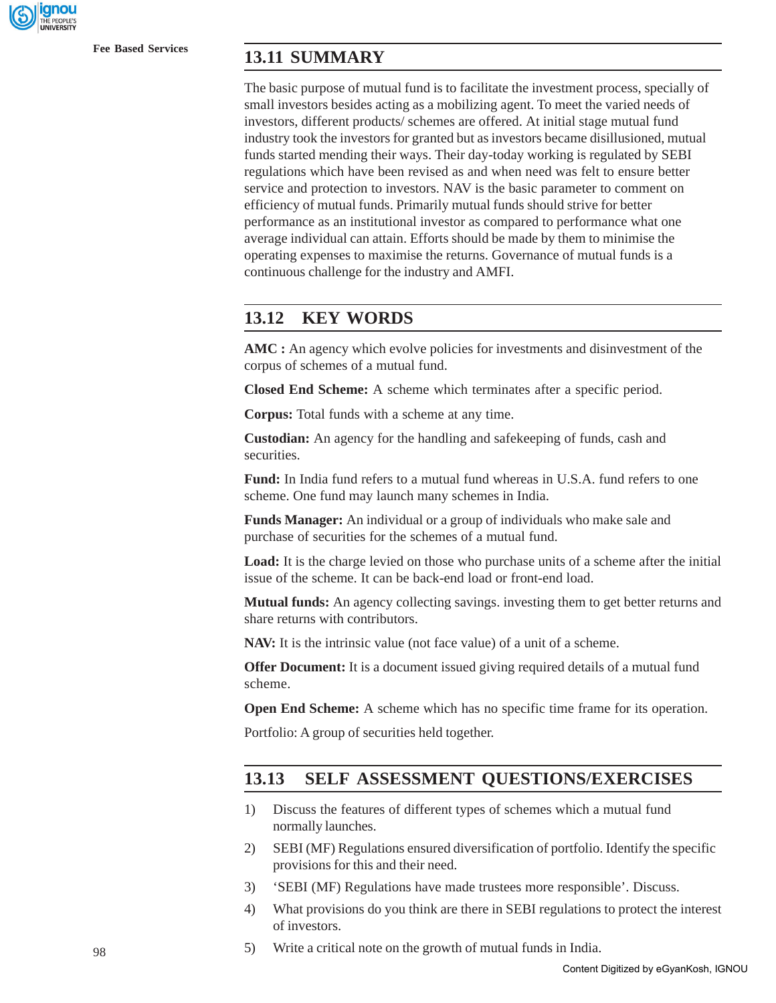# Fee Based Services<br> **13.11 SUMMARY**

The basic purpose of mutual fund is to facilitate the investment process, specially of small investors besides acting as a mobilizing agent. To meet the varied needs of investors, different products/ schemes are offered. At initial stage mutual fund industry took the investors for granted but as investors became disillusioned, mutual funds started mending their ways. Their day-today working is regulated by SEBI regulations which have been revised as and when need was felt to ensure better service and protection to investors. NAV is the basic parameter to comment on efficiency of mutual funds. Primarily mutual funds should strive for better performance as an institutional investor as compared to performance what one average individual can attain. Efforts should be made by them to minimise the operating expenses to maximise the returns. Governance of mutual funds is a continuous challenge for the industry and AMFI.

# **13.12 KEY WORDS**

**AMC :** An agency which evolve policies for investments and disinvestment of the corpus of schemes of a mutual fund.

**Closed End Scheme:** A scheme which terminates after a specific period.

**Corpus:** Total funds with a scheme at any time.

**Custodian:** An agency for the handling and safekeeping of funds, cash and securities.

**Fund:** In India fund refers to a mutual fund whereas in U.S.A. fund refers to one scheme. One fund may launch many schemes in India.

**Funds Manager:** An individual or a group of individuals who make sale and purchase of securities for the schemes of a mutual fund.

**Load:** It is the charge levied on those who purchase units of a scheme after the initial issue of the scheme. It can be back-end load or front-end load.

**Mutual funds:** An agency collecting savings. investing them to get better returns and share returns with contributors.

**NAV:** It is the intrinsic value (not face value) of a unit of a scheme.

**Offer Document:** It is a document issued giving required details of a mutual fund scheme.

**Open End Scheme:** A scheme which has no specific time frame for its operation.

Portfolio: A group of securities held together.

# **13.13 SELF ASSESSMENT QUESTIONS/EXERCISES**

- 1) Discuss the features of different types of schemes which a mutual fund normally launches.
- 2) SEBI (MF) Regulations ensured diversification of portfolio. Identify the specific provisions for this and their need.
- 3) 'SEBI (MF) Regulations have made trustees more responsible'. Discuss.
- 4) What provisions do you think are there in SEBI regulations to protect the interest of investors.
- 5) Write a critical note on the growth of mutual funds in India.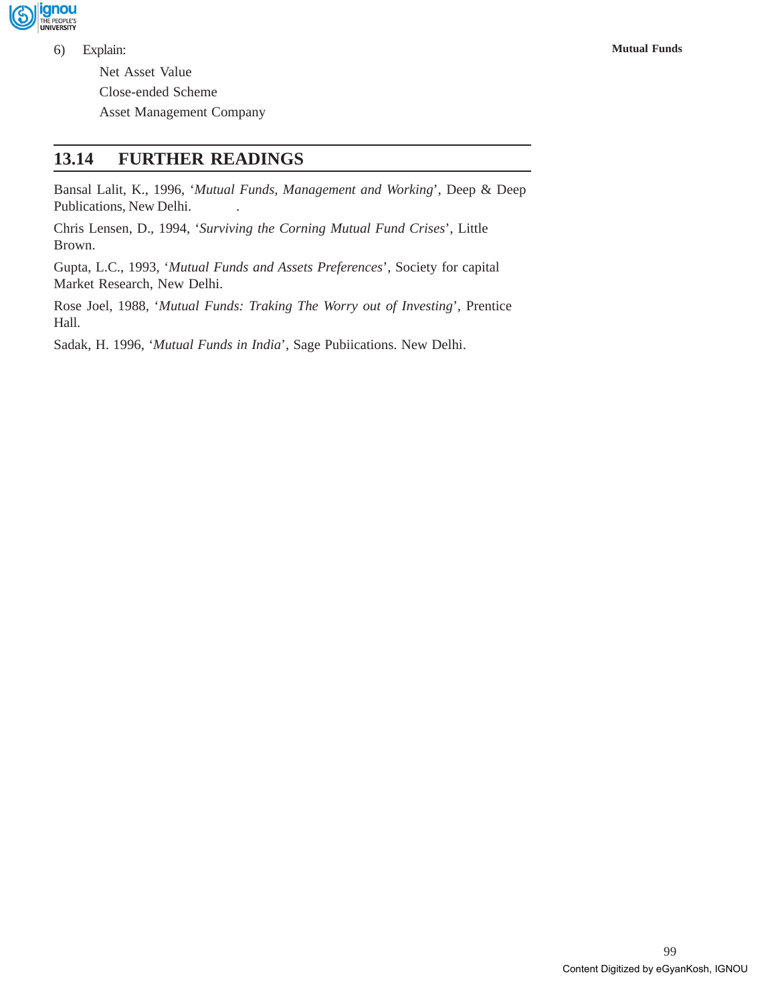

6) Explain: **Mutual Funds**

Net Asset Value

Close-ended Scheme

Asset Management Company

## **13.14 FURTHER READINGS**

Bansal Lalit, K., 1996, '*Mutual Funds, Management and Working*', Deep & Deep Publications, New Delhi. .

Chris Lensen, D., 1994, '*Surviving the Corning Mutual Fund Crises*', Little Brown.

Gupta, L.C., 1993, '*Mutual Funds and Assets Preferences*', Society for capital Market Research, New Delhi.

Rose Joel, 1988, '*Mutual Funds: Traking The Worry out of Investing*', Prentice Hall.

Sadak, H. 1996, '*Mutual Funds in India*', Sage Pubiications. New Delhi.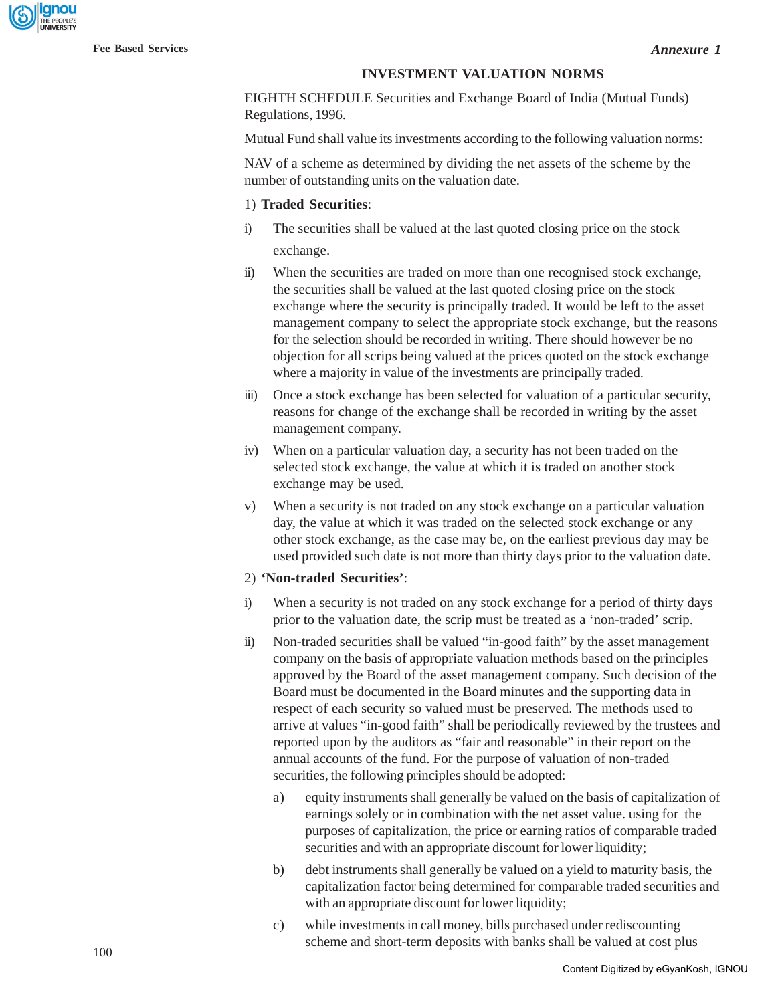#### **INVESTMENT VALUATION NORMS**

EIGHTH SCHEDULE Securities and Exchange Board of India (Mutual Funds) Regulations, 1996.

Mutual Fund shall value its investments according to the following valuation norms:

NAV of a scheme as determined by dividing the net assets of the scheme by the number of outstanding units on the valuation date.

#### 1) **Traded Securities**:

- i) The securities shall be valued at the last quoted closing price on the stock exchange.
- ii) When the securities are traded on more than one recognised stock exchange, the securities shall be valued at the last quoted closing price on the stock exchange where the security is principally traded. It would be left to the asset management company to select the appropriate stock exchange, but the reasons for the selection should be recorded in writing. There should however be no objection for all scrips being valued at the prices quoted on the stock exchange where a majority in value of the investments are principally traded.
- iii) Once a stock exchange has been selected for valuation of a particular security, reasons for change of the exchange shall be recorded in writing by the asset management company.
- iv) When on a particular valuation day, a security has not been traded on the selected stock exchange, the value at which it is traded on another stock exchange may be used.
- v) When a security is not traded on any stock exchange on a particular valuation day, the value at which it was traded on the selected stock exchange or any other stock exchange, as the case may be, on the earliest previous day may be used provided such date is not more than thirty days prior to the valuation date.

#### 2) **'Non-traded Securities'**:

- i) When a security is not traded on any stock exchange for a period of thirty days prior to the valuation date, the scrip must be treated as a 'non-traded' scrip.
- ii) Non-traded securities shall be valued "in-good faith" by the asset management company on the basis of appropriate valuation methods based on the principles approved by the Board of the asset management company. Such decision of the Board must be documented in the Board minutes and the supporting data in respect of each security so valued must be preserved. The methods used to arrive at values "in-good faith" shall be periodically reviewed by the trustees and reported upon by the auditors as "fair and reasonable" in their report on the annual accounts of the fund. For the purpose of valuation of non-traded securities, the following principles should be adopted:
	- a) equity instruments shall generally be valued on the basis of capitalization of earnings solely or in combination with the net asset value. using for the purposes of capitalization, the price or earning ratios of comparable traded securities and with an appropriate discount for lower liquidity;
	- b) debt instruments shall generally be valued on a yield to maturity basis, the capitalization factor being determined for comparable traded securities and with an appropriate discount for lower liquidity;
	- c) while investments in call money, bills purchased under rediscounting scheme and short-term deposits with banks shall be valued at cost plus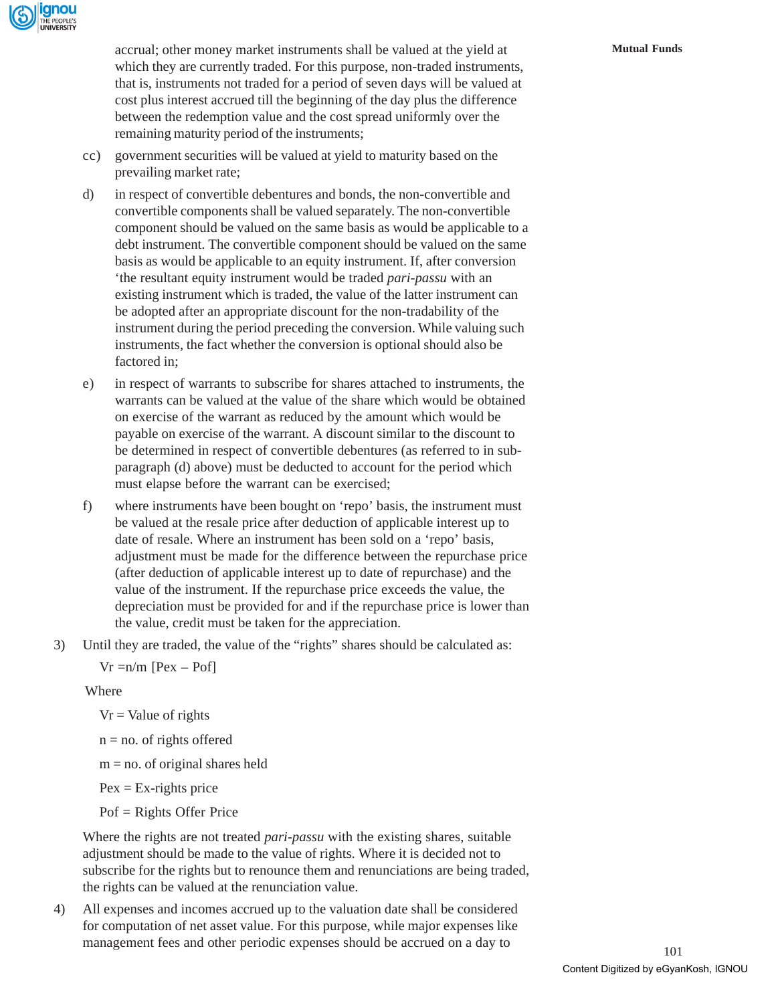

accrual; other money market instruments shall be valued at the yield at **Mutual Funds** which they are currently traded. For this purpose, non-traded instruments, that is, instruments not traded for a period of seven days will be valued at cost plus interest accrued till the beginning of the day plus the difference between the redemption value and the cost spread uniformly over the remaining maturity period of the instruments;

- cc) government securities will be valued at yield to maturity based on the prevailing market rate;
- d) in respect of convertible debentures and bonds, the non-convertible and convertible components shall be valued separately. The non-convertible component should be valued on the same basis as would be applicable to a debt instrument. The convertible component should be valued on the same basis as would be applicable to an equity instrument. If, after conversion 'the resultant equity instrument would be traded *pari-passu* with an existing instrument which is traded, the value of the latter instrument can be adopted after an appropriate discount for the non-tradability of the instrument during the period preceding the conversion. While valuing such instruments, the fact whether the conversion is optional should also be factored in;
- e) in respect of warrants to subscribe for shares attached to instruments, the warrants can be valued at the value of the share which would be obtained on exercise of the warrant as reduced by the amount which would be payable on exercise of the warrant. A discount similar to the discount to be determined in respect of convertible debentures (as referred to in subparagraph (d) above) must be deducted to account for the period which must elapse before the warrant can be exercised;
- f) where instruments have been bought on 'repo' basis, the instrument must be valued at the resale price after deduction of applicable interest up to date of resale. Where an instrument has been sold on a 'repo' basis, adjustment must be made for the difference between the repurchase price (after deduction of applicable interest up to date of repurchase) and the value of the instrument. If the repurchase price exceeds the value, the depreciation must be provided for and if the repurchase price is lower than the value, credit must be taken for the appreciation.
- 3) Until they are traded, the value of the "rights" shares should be calculated as:

 $Vr = n/m$  [Pex – Pof]

#### Where

- $Vr =$ Value of rights
- $n = no$ . of rights offered
- $m = no$ . of original shares held
- $Pex = Ex-rights price$
- Pof = Rights Offer Price

Where the rights are not treated *pari-passu* with the existing shares, suitable adjustment should be made to the value of rights. Where it is decided not to subscribe for the rights but to renounce them and renunciations are being traded, the rights can be valued at the renunciation value.

4) All expenses and incomes accrued up to the valuation date shall be considered for computation of net asset value. For this purpose, while major expenses like management fees and other periodic expenses should be accrued on a day to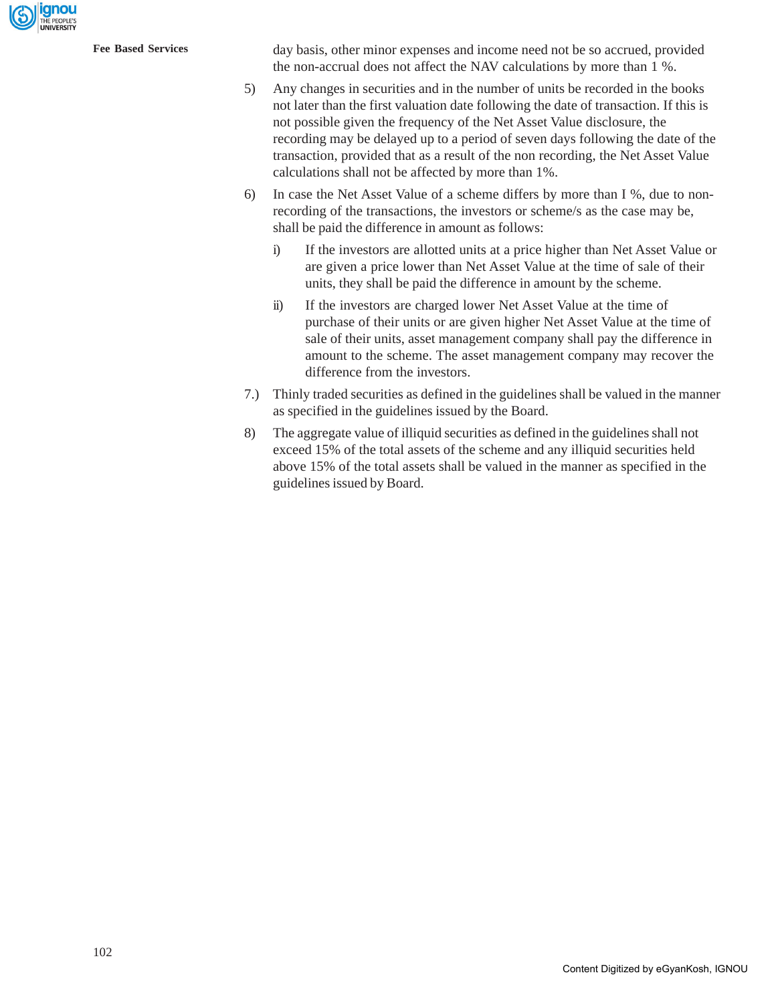

**Fee Based Services** day basis, other minor expenses and income need not be so accrued, provided the non-accrual does not affect the NAV calculations by more than 1 %.

- 5) Any changes in securities and in the number of units be recorded in the books not later than the first valuation date following the date of transaction. If this is not possible given the frequency of the Net Asset Value disclosure, the recording may be delayed up to a period of seven days following the date of the transaction, provided that as a result of the non recording, the Net Asset Value calculations shall not be affected by more than 1%.
- 6) In case the Net Asset Value of a scheme differs by more than I %, due to nonrecording of the transactions, the investors or scheme/s as the case may be, shall be paid the difference in amount as follows:
	- i) If the investors are allotted units at a price higher than Net Asset Value or are given a price lower than Net Asset Value at the time of sale of their units, they shall be paid the difference in amount by the scheme.
	- ii) If the investors are charged lower Net Asset Value at the time of purchase of their units or are given higher Net Asset Value at the time of sale of their units, asset management company shall pay the difference in amount to the scheme. The asset management company may recover the difference from the investors.
- 7.) Thinly traded securities as defined in the guidelines shall be valued in the manner as specified in the guidelines issued by the Board.
- 8) The aggregate value of illiquid securities as defined in the guidelines shall not exceed 15% of the total assets of the scheme and any illiquid securities held above 15% of the total assets shall be valued in the manner as specified in the guidelines issued by Board.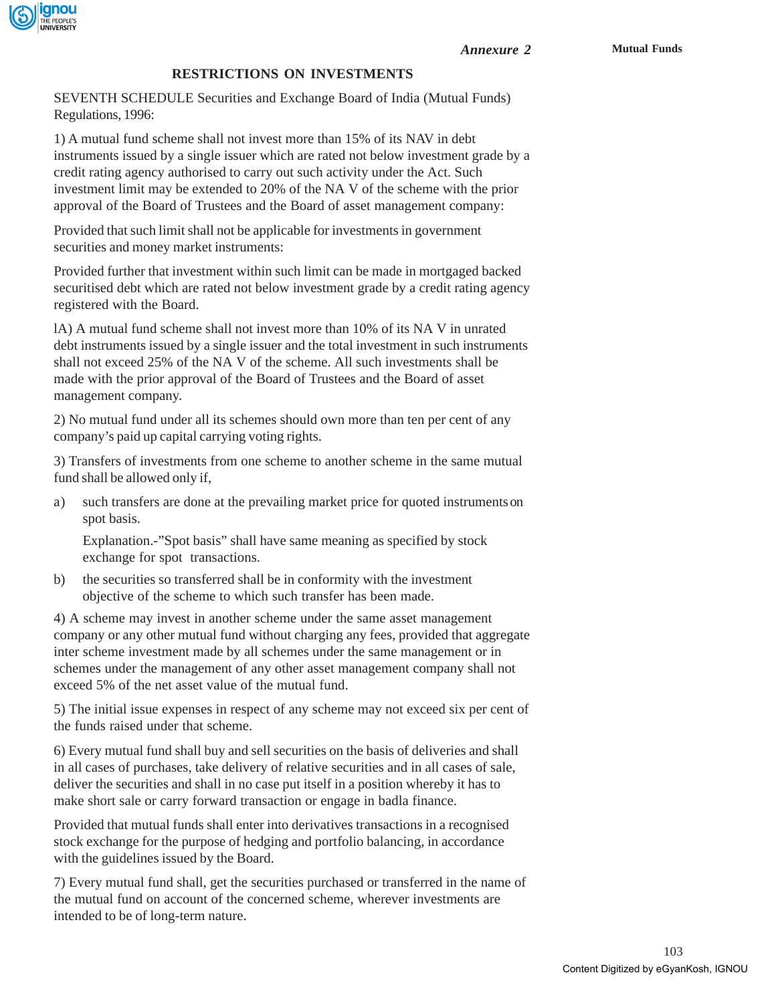

#### **RESTRICTIONS ON INVESTMENTS**

SEVENTH SCHEDULE Securities and Exchange Board of India (Mutual Funds) Regulations, 1996:

1) A mutual fund scheme shall not invest more than 15% of its NAV in debt instruments issued by a single issuer which are rated not below investment grade by a credit rating agency authorised to carry out such activity under the Act. Such investment limit may be extended to 20% of the NA V of the scheme with the prior approval of the Board of Trustees and the Board of asset management company:

Provided that such limit shall not be applicable for investments in government securities and money market instruments:

Provided further that investment within such limit can be made in mortgaged backed securitised debt which are rated not below investment grade by a credit rating agency registered with the Board.

lA) A mutual fund scheme shall not invest more than 10% of its NA V in unrated debt instruments issued by a single issuer and the total investment in such instruments shall not exceed 25% of the NA V of the scheme. All such investments shall be made with the prior approval of the Board of Trustees and the Board of asset management company.

2) No mutual fund under all its schemes should own more than ten per cent of any company's paid up capital carrying voting rights.

3) Transfers of investments from one scheme to another scheme in the same mutual fund shall be allowed only if,

a) such transfers are done at the prevailing market price for quoted instrumentson spot basis.

Explanation.-"Spot basis" shall have same meaning as specified by stock exchange for spot transactions.

b) the securities so transferred shall be in conformity with the investment objective of the scheme to which such transfer has been made.

4) A scheme may invest in another scheme under the same asset management company or any other mutual fund without charging any fees, provided that aggregate inter scheme investment made by all schemes under the same management or in schemes under the management of any other asset management company shall not exceed 5% of the net asset value of the mutual fund.

5) The initial issue expenses in respect of any scheme may not exceed six per cent of the funds raised under that scheme.

6) Every mutual fund shall buy and sell securities on the basis of deliveries and shall in all cases of purchases, take delivery of relative securities and in all cases of sale, deliver the securities and shall in no case put itself in a position whereby it has to make short sale or carry forward transaction or engage in badla finance.

Provided that mutual funds shall enter into derivatives transactions in a recognised stock exchange for the purpose of hedging and portfolio balancing, in accordance with the guidelines issued by the Board.

7) Every mutual fund shall, get the securities purchased or transferred in the name of the mutual fund on account of the concerned scheme, wherever investments are intended to be of long-term nature.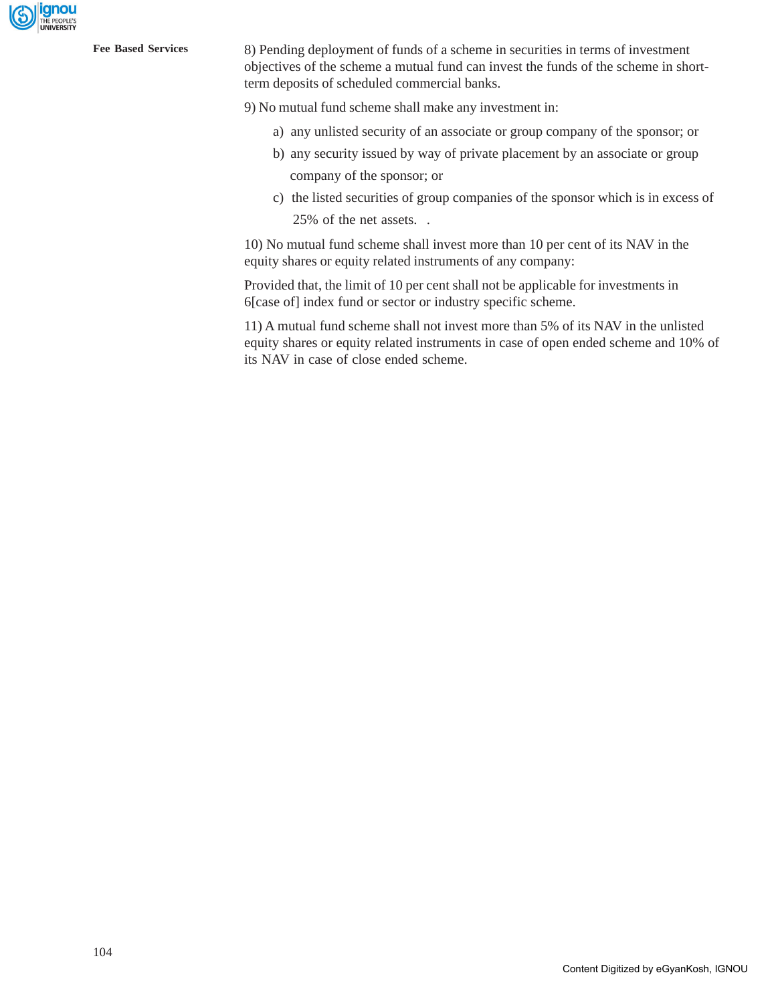

Fee Based Services 8) Pending deployment of funds of a scheme in securities in terms of investment objectives of the scheme a mutual fund can invest the funds of the scheme in shortterm deposits of scheduled commercial banks.

9) No mutual fund scheme shall make any investment in:

- a) any unlisted security of an associate or group company of the sponsor; or
- b) any security issued by way of private placement by an associate or group company of the sponsor; or
- c) the listed securities of group companies of the sponsor which is in excess of 25% of the net assets. .

10) No mutual fund scheme shall invest more than 10 per cent of its NAV in the equity shares or equity related instruments of any company:

Provided that, the limit of 10 per cent shall not be applicable for investments in 6[case of] index fund or sector or industry specific scheme.

11) A mutual fund scheme shall not invest more than 5% of its NAV in the unlisted equity shares or equity related instruments in case of open ended scheme and 10% of its NAV in case of close ended scheme.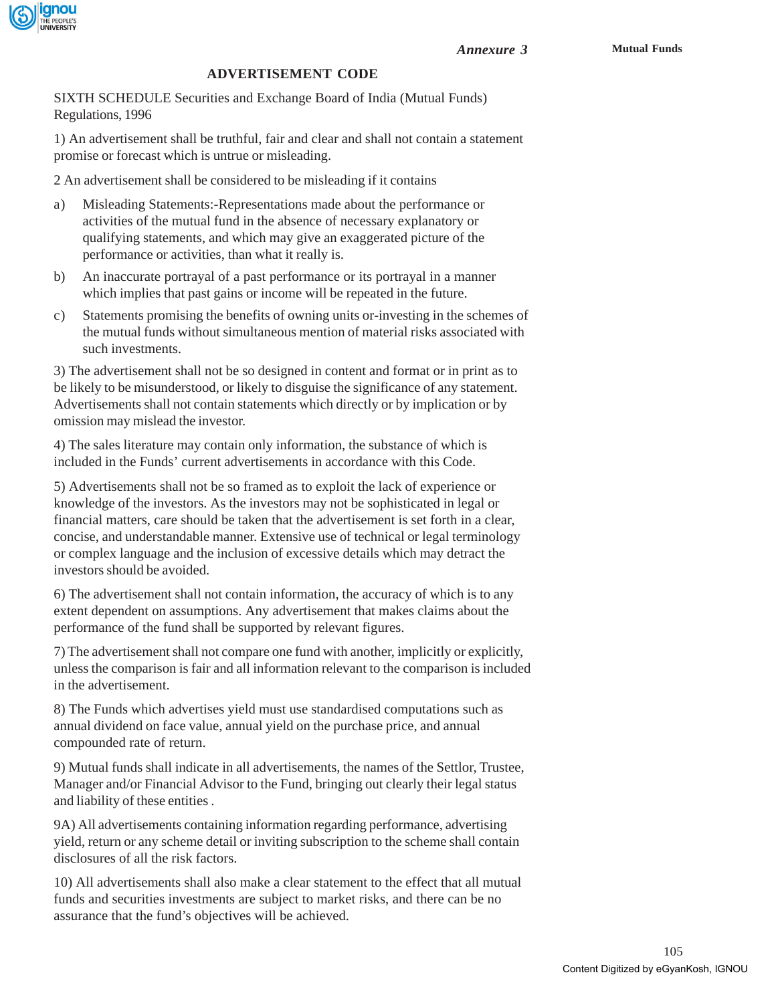*Annexure 3* **Mutual Funds**

#### **ADVERTISEMENT CODE**

SIXTH SCHEDULE Securities and Exchange Board of India (Mutual Funds) Regulations, 1996

1) An advertisement shall be truthful, fair and clear and shall not contain a statement promise or forecast which is untrue or misleading.

2 An advertisement shall be considered to be misleading if it contains

- a) Misleading Statements:-Representations made about the performance or activities of the mutual fund in the absence of necessary explanatory or qualifying statements, and which may give an exaggerated picture of the performance or activities, than what it really is.
- b) An inaccurate portrayal of a past performance or its portrayal in a manner which implies that past gains or income will be repeated in the future.
- c) Statements promising the benefits of owning units or-investing in the schemes of the mutual funds without simultaneous mention of material risks associated with such investments.

3) The advertisement shall not be so designed in content and format or in print as to be likely to be misunderstood, or likely to disguise the significance of any statement. Advertisements shall not contain statements which directly or by implication or by omission may mislead the investor.

4) The sales literature may contain only information, the substance of which is included in the Funds' current advertisements in accordance with this Code.

5) Advertisements shall not be so framed as to exploit the lack of experience or knowledge of the investors. As the investors may not be sophisticated in legal or financial matters, care should be taken that the advertisement is set forth in a clear, concise, and understandable manner. Extensive use of technical or legal terminology or complex language and the inclusion of excessive details which may detract the investors should be avoided.

6) The advertisement shall not contain information, the accuracy of which is to any extent dependent on assumptions. Any advertisement that makes claims about the performance of the fund shall be supported by relevant figures.

7) The advertisement shall not compare one fund with another, implicitly or explicitly, unless the comparison is fair and all information relevant to the comparison is included in the advertisement.

8) The Funds which advertises yield must use standardised computations such as annual dividend on face value, annual yield on the purchase price, and annual compounded rate of return.

9) Mutual funds shall indicate in all advertisements, the names of the Settlor, Trustee, Manager and/or Financial Advisor to the Fund, bringing out clearly their legal status and liability of these entities .

9A) All advertisements containing information regarding performance, advertising yield, return or any scheme detail or inviting subscription to the scheme shall contain disclosures of all the risk factors.

10) All advertisements shall also make a clear statement to the effect that all mutual funds and securities investments are subject to market risks, and there can be no assurance that the fund's objectives will be achieved.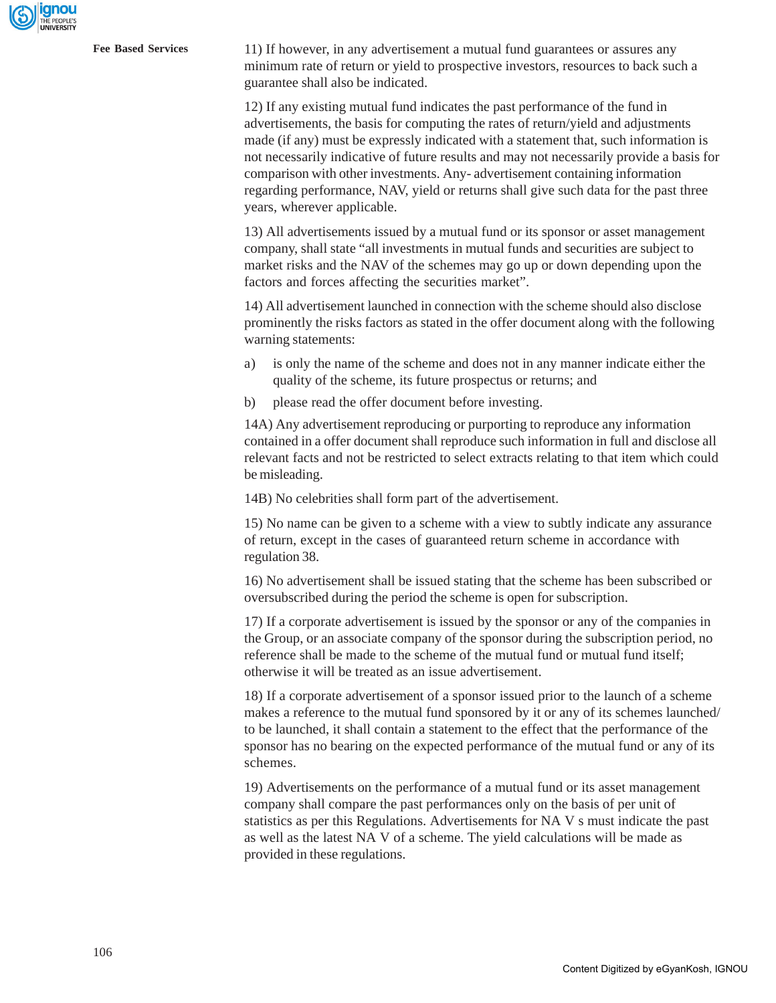**Fee Based Services** 11) If however, in any advertisement a mutual fund guarantees or assures any minimum rate of return or yield to prospective investors, resources to back such a guarantee shall also be indicated.

> 12) If any existing mutual fund indicates the past performance of the fund in advertisements, the basis for computing the rates of return/yield and adjustments made (if any) must be expressly indicated with a statement that, such information is not necessarily indicative of future results and may not necessarily provide a basis for comparison with other investments. Any- advertisement containing information regarding performance, NAV, yield or returns shall give such data for the past three years, wherever applicable.

13) All advertisements issued by a mutual fund or its sponsor or asset management company, shall state "all investments in mutual funds and securities are subject to market risks and the NAV of the schemes may go up or down depending upon the factors and forces affecting the securities market".

14) All advertisement launched in connection with the scheme should also disclose prominently the risks factors as stated in the offer document along with the following warning statements:

- a) is only the name of the scheme and does not in any manner indicate either the quality of the scheme, its future prospectus or returns; and
- b) please read the offer document before investing.

14A) Any advertisement reproducing or purporting to reproduce any information contained in a offer document shall reproduce such information in full and disclose all relevant facts and not be restricted to select extracts relating to that item which could be misleading.

14B) No celebrities shall form part of the advertisement.

15) No name can be given to a scheme with a view to subtly indicate any assurance of return, except in the cases of guaranteed return scheme in accordance with regulation 38.

16) No advertisement shall be issued stating that the scheme has been subscribed or oversubscribed during the period the scheme is open for subscription.

17) If a corporate advertisement is issued by the sponsor or any of the companies in the Group, or an associate company of the sponsor during the subscription period, no reference shall be made to the scheme of the mutual fund or mutual fund itself; otherwise it will be treated as an issue advertisement.

18) If a corporate advertisement of a sponsor issued prior to the launch of a scheme makes a reference to the mutual fund sponsored by it or any of its schemes launched/ to be launched, it shall contain a statement to the effect that the performance of the sponsor has no bearing on the expected performance of the mutual fund or any of its schemes.

19) Advertisements on the performance of a mutual fund or its asset management company shall compare the past performances only on the basis of per unit of statistics as per this Regulations. Advertisements for NA V s must indicate the past as well as the latest NA V of a scheme. The yield calculations will be made as provided in these regulations.